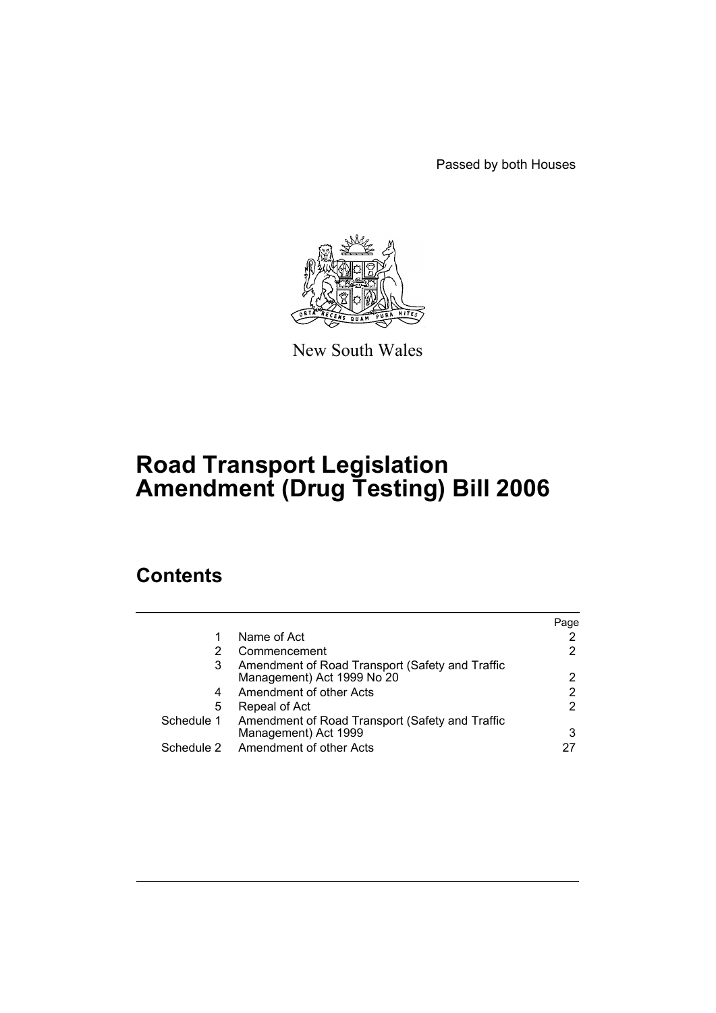Passed by both Houses



New South Wales

# **Road Transport Legislation Amendment (Drug Testing) Bill 2006**

# **Contents**

|            |                                                 | Page |
|------------|-------------------------------------------------|------|
|            | Name of Act                                     |      |
| 2          | Commencement                                    | 2    |
| 3          | Amendment of Road Transport (Safety and Traffic |      |
|            | Management) Act 1999 No 20                      | 2    |
| 4          | Amendment of other Acts                         | 2    |
| 5          | Repeal of Act                                   | 2    |
| Schedule 1 | Amendment of Road Transport (Safety and Traffic |      |
|            | Management) Act 1999                            | 3    |
| Schedule 2 | Amendment of other Acts                         |      |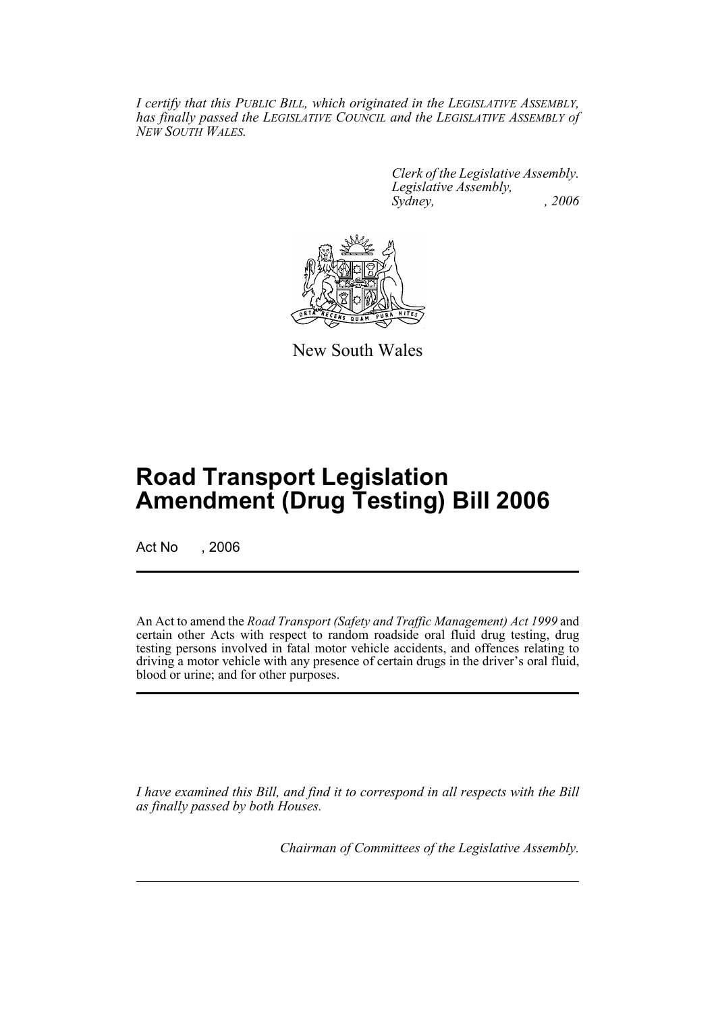*I certify that this PUBLIC BILL, which originated in the LEGISLATIVE ASSEMBLY, has finally passed the LEGISLATIVE COUNCIL and the LEGISLATIVE ASSEMBLY of NEW SOUTH WALES.*

> *Clerk of the Legislative Assembly. Legislative Assembly, Sydney, , 2006*



New South Wales

# **Road Transport Legislation Amendment (Drug Testing) Bill 2006**

Act No . 2006

An Act to amend the *Road Transport (Safety and Traffic Management) Act 1999* and certain other Acts with respect to random roadside oral fluid drug testing, drug testing persons involved in fatal motor vehicle accidents, and offences relating to driving a motor vehicle with any presence of certain drugs in the driver's oral fluid, blood or urine; and for other purposes.

*I have examined this Bill, and find it to correspond in all respects with the Bill as finally passed by both Houses.*

*Chairman of Committees of the Legislative Assembly.*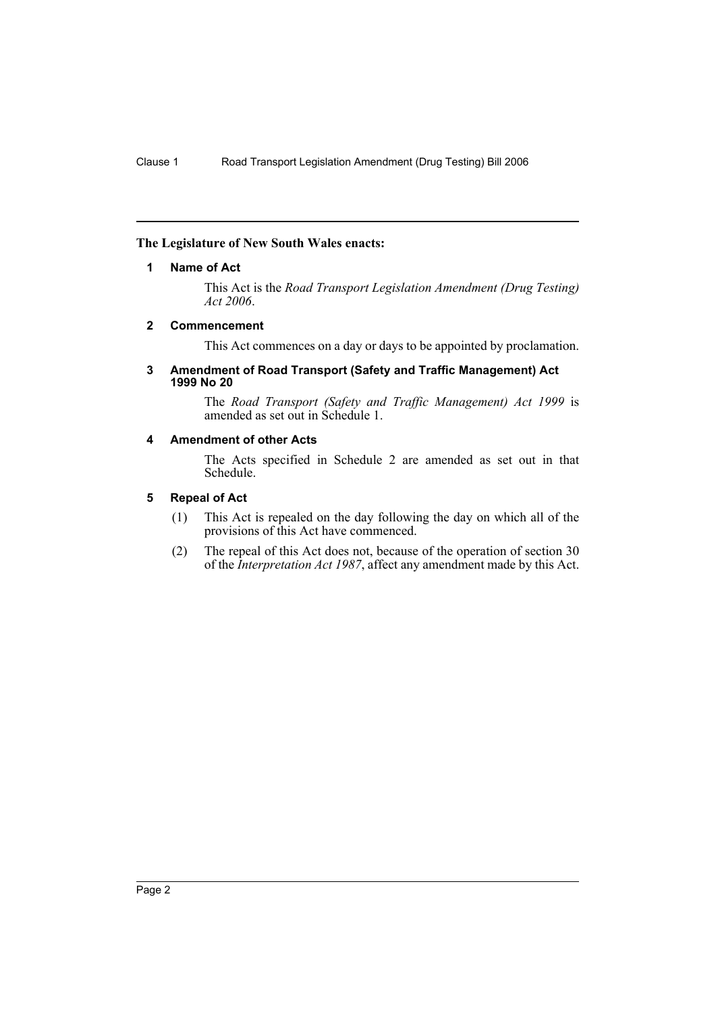## **The Legislature of New South Wales enacts:**

## **1 Name of Act**

This Act is the *Road Transport Legislation Amendment (Drug Testing) Act 2006*.

## **2 Commencement**

This Act commences on a day or days to be appointed by proclamation.

#### **3 Amendment of Road Transport (Safety and Traffic Management) Act 1999 No 20**

The *Road Transport (Safety and Traffic Management) Act 1999* is amended as set out in Schedule 1.

## **4 Amendment of other Acts**

The Acts specified in Schedule 2 are amended as set out in that Schedule.

## **5 Repeal of Act**

- (1) This Act is repealed on the day following the day on which all of the provisions of this Act have commenced.
- (2) The repeal of this Act does not, because of the operation of section 30 of the *Interpretation Act 1987*, affect any amendment made by this Act.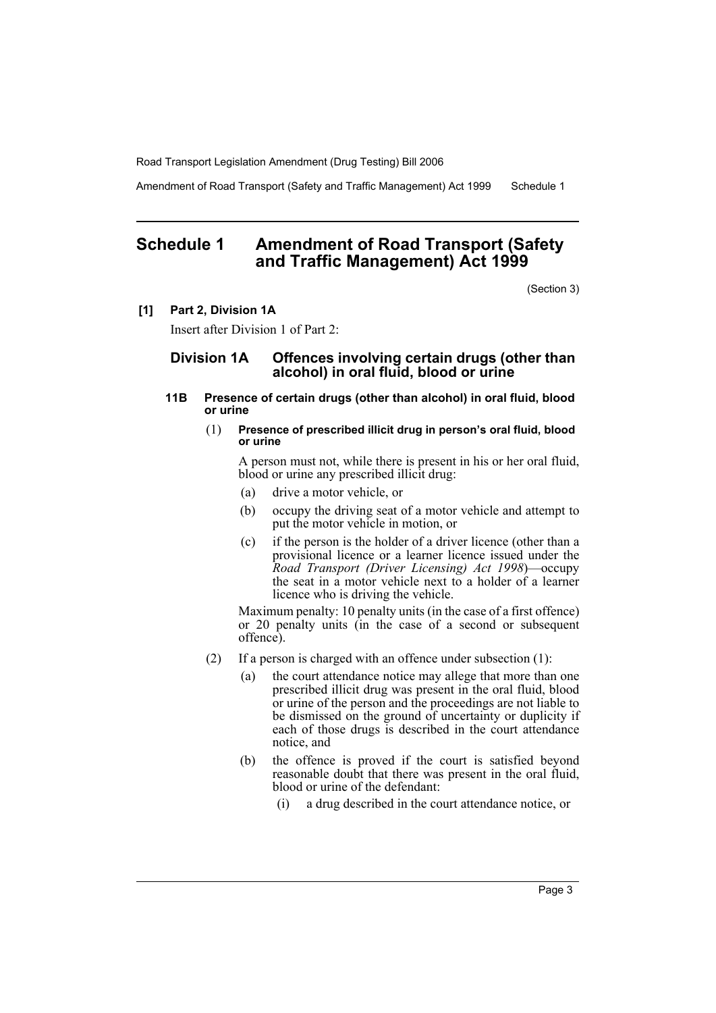Amendment of Road Transport (Safety and Traffic Management) Act 1999 Schedule 1

## **Schedule 1 Amendment of Road Transport (Safety and Traffic Management) Act 1999**

(Section 3)

#### **[1] Part 2, Division 1A**

Insert after Division 1 of Part 2:

## **Division 1A Offences involving certain drugs (other than alcohol) in oral fluid, blood or urine**

#### **11B Presence of certain drugs (other than alcohol) in oral fluid, blood or urine**

#### (1) **Presence of prescribed illicit drug in person's oral fluid, blood or urine**

A person must not, while there is present in his or her oral fluid, blood or urine any prescribed illicit drug:

- (a) drive a motor vehicle, or
- (b) occupy the driving seat of a motor vehicle and attempt to put the motor vehicle in motion, or
- (c) if the person is the holder of a driver licence (other than a provisional licence or a learner licence issued under the *Road Transport (Driver Licensing) Act 1998*)—occupy the seat in a motor vehicle next to a holder of a learner licence who is driving the vehicle.

Maximum penalty: 10 penalty units (in the case of a first offence) or 20 penalty units (in the case of a second or subsequent offence).

- (2) If a person is charged with an offence under subsection (1):
	- (a) the court attendance notice may allege that more than one prescribed illicit drug was present in the oral fluid, blood or urine of the person and the proceedings are not liable to be dismissed on the ground of uncertainty or duplicity if each of those drugs is described in the court attendance notice, and
	- (b) the offence is proved if the court is satisfied beyond reasonable doubt that there was present in the oral fluid, blood or urine of the defendant:
		- (i) a drug described in the court attendance notice, or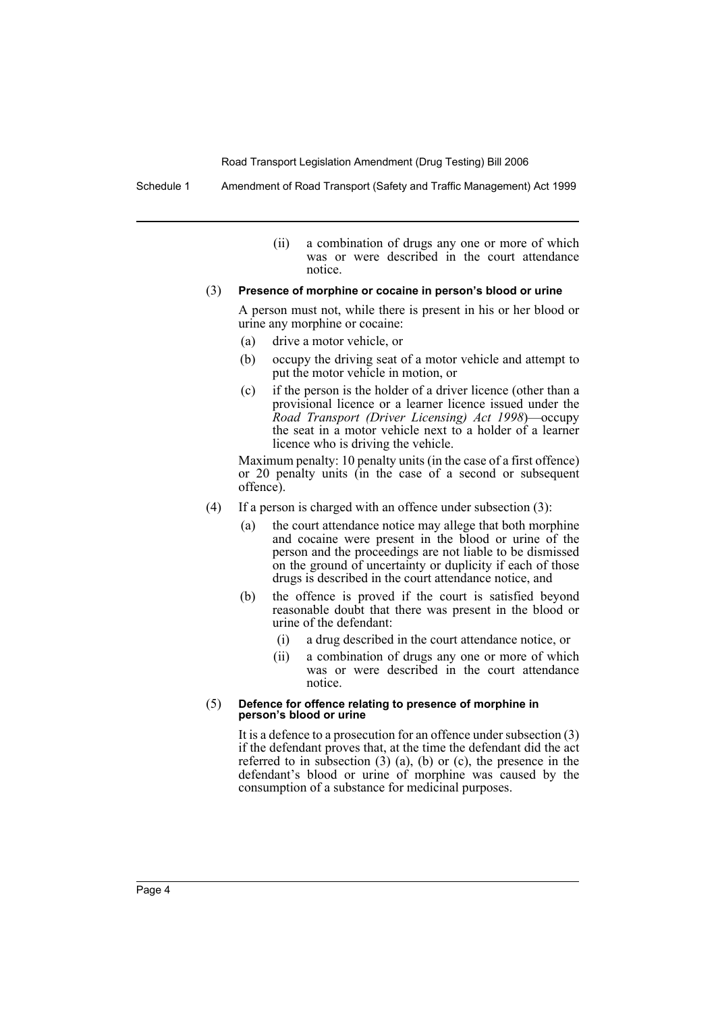Schedule 1 Amendment of Road Transport (Safety and Traffic Management) Act 1999

(ii) a combination of drugs any one or more of which was or were described in the court attendance notice.

#### (3) **Presence of morphine or cocaine in person's blood or urine**

A person must not, while there is present in his or her blood or urine any morphine or cocaine:

- (a) drive a motor vehicle, or
- (b) occupy the driving seat of a motor vehicle and attempt to put the motor vehicle in motion, or
- (c) if the person is the holder of a driver licence (other than a provisional licence or a learner licence issued under the *Road Transport (Driver Licensing) Act 1998*)—occupy the seat in a motor vehicle next to a holder of a learner licence who is driving the vehicle.

Maximum penalty: 10 penalty units (in the case of a first offence) or 20 penalty units (in the case of a second or subsequent offence).

- (4) If a person is charged with an offence under subsection (3):
	- (a) the court attendance notice may allege that both morphine and cocaine were present in the blood or urine of the person and the proceedings are not liable to be dismissed on the ground of uncertainty or duplicity if each of those drugs is described in the court attendance notice, and
	- (b) the offence is proved if the court is satisfied beyond reasonable doubt that there was present in the blood or urine of the defendant:
		- (i) a drug described in the court attendance notice, or
		- (ii) a combination of drugs any one or more of which was or were described in the court attendance notice.

#### (5) **Defence for offence relating to presence of morphine in person's blood or urine**

It is a defence to a prosecution for an offence under subsection (3) if the defendant proves that, at the time the defendant did the act referred to in subsection  $(3)$   $(a)$ ,  $(b)$  or  $(c)$ , the presence in the defendant's blood or urine of morphine was caused by the consumption of a substance for medicinal purposes.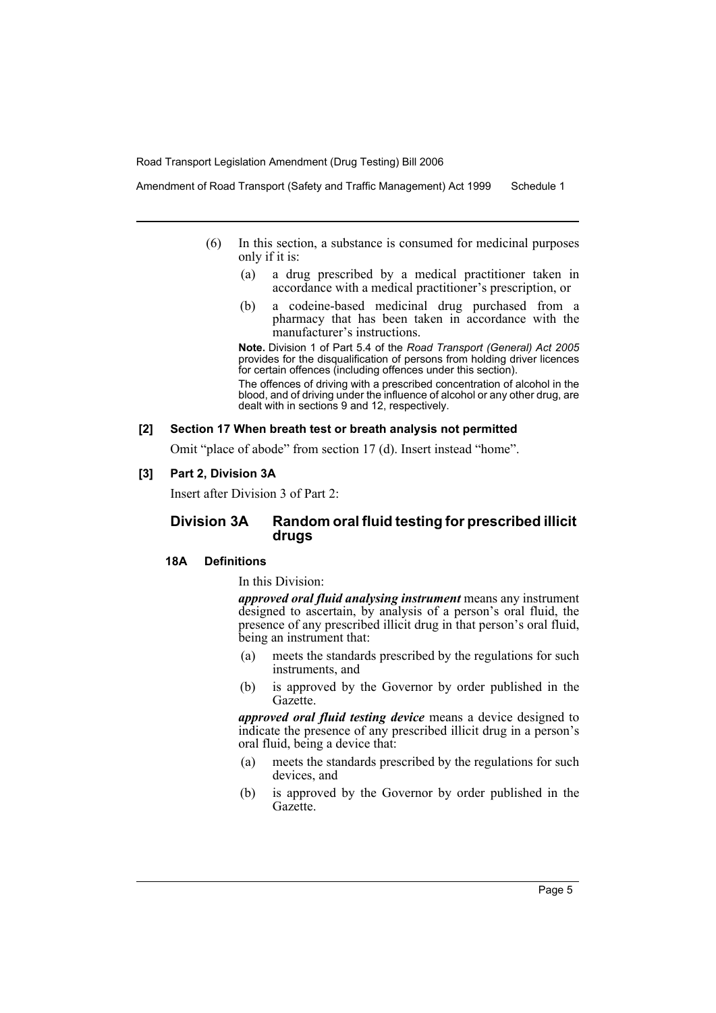Amendment of Road Transport (Safety and Traffic Management) Act 1999 Schedule 1

- (6) In this section, a substance is consumed for medicinal purposes only if it is:
	- (a) a drug prescribed by a medical practitioner taken in accordance with a medical practitioner's prescription, or
	- (b) a codeine-based medicinal drug purchased from a pharmacy that has been taken in accordance with the manufacturer's instructions.

**Note.** Division 1 of Part 5.4 of the *Road Transport (General) Act 2005* provides for the disqualification of persons from holding driver licences for certain offences (including offences under this section).

The offences of driving with a prescribed concentration of alcohol in the blood, and of driving under the influence of alcohol or any other drug, are dealt with in sections 9 and 12, respectively.

#### **[2] Section 17 When breath test or breath analysis not permitted**

Omit "place of abode" from section 17 (d). Insert instead "home".

## **[3] Part 2, Division 3A**

Insert after Division 3 of Part 2:

## **Division 3A Random oral fluid testing for prescribed illicit drugs**

## **18A Definitions**

In this Division:

*approved oral fluid analysing instrument* means any instrument designed to ascertain, by analysis of a person's oral fluid, the presence of any prescribed illicit drug in that person's oral fluid, being an instrument that:

- (a) meets the standards prescribed by the regulations for such instruments, and
- (b) is approved by the Governor by order published in the Gazette.

*approved oral fluid testing device* means a device designed to indicate the presence of any prescribed illicit drug in a person's oral fluid, being a device that:

- (a) meets the standards prescribed by the regulations for such devices, and
- (b) is approved by the Governor by order published in the Gazette.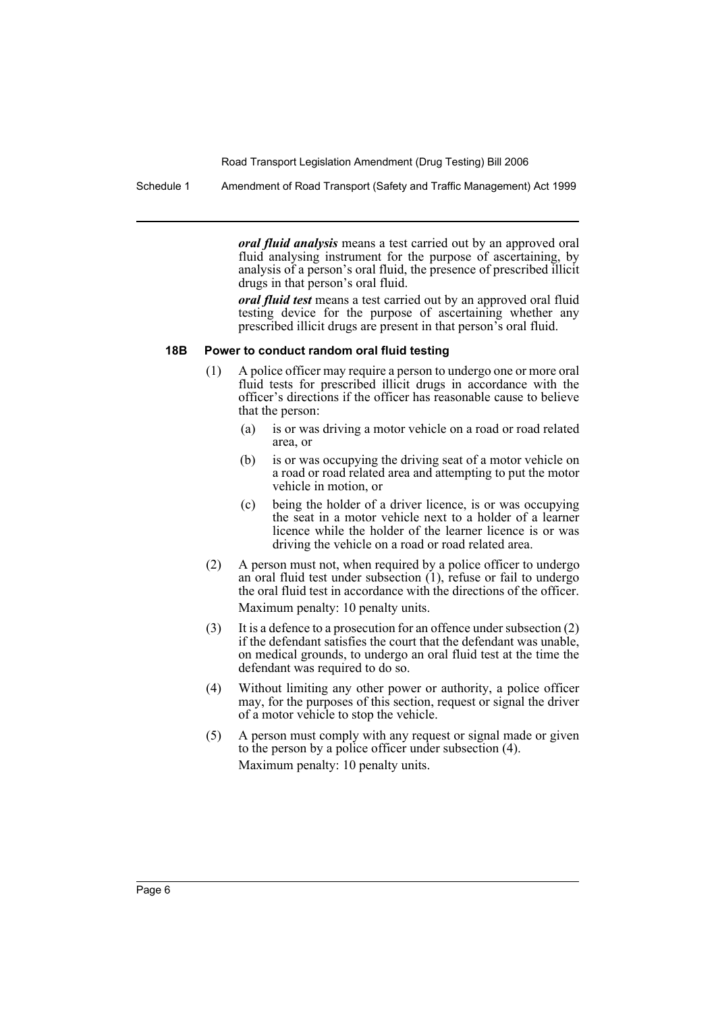Schedule 1 Amendment of Road Transport (Safety and Traffic Management) Act 1999

*oral fluid analysis* means a test carried out by an approved oral fluid analysing instrument for the purpose of ascertaining, by analysis of a person's oral fluid, the presence of prescribed illicit drugs in that person's oral fluid.

*oral fluid test* means a test carried out by an approved oral fluid testing device for the purpose of ascertaining whether any prescribed illicit drugs are present in that person's oral fluid.

#### **18B Power to conduct random oral fluid testing**

- (1) A police officer may require a person to undergo one or more oral fluid tests for prescribed illicit drugs in accordance with the officer's directions if the officer has reasonable cause to believe that the person:
	- (a) is or was driving a motor vehicle on a road or road related area, or
	- (b) is or was occupying the driving seat of a motor vehicle on a road or road related area and attempting to put the motor vehicle in motion, or
	- (c) being the holder of a driver licence, is or was occupying the seat in a motor vehicle next to a holder of a learner licence while the holder of the learner licence is or was driving the vehicle on a road or road related area.
- (2) A person must not, when required by a police officer to undergo an oral fluid test under subsection (1), refuse or fail to undergo the oral fluid test in accordance with the directions of the officer. Maximum penalty: 10 penalty units.
- (3) It is a defence to a prosecution for an offence under subsection (2) if the defendant satisfies the court that the defendant was unable, on medical grounds, to undergo an oral fluid test at the time the defendant was required to do so.
- (4) Without limiting any other power or authority, a police officer may, for the purposes of this section, request or signal the driver of a motor vehicle to stop the vehicle.
- (5) A person must comply with any request or signal made or given to the person by a police officer under subsection (4). Maximum penalty: 10 penalty units.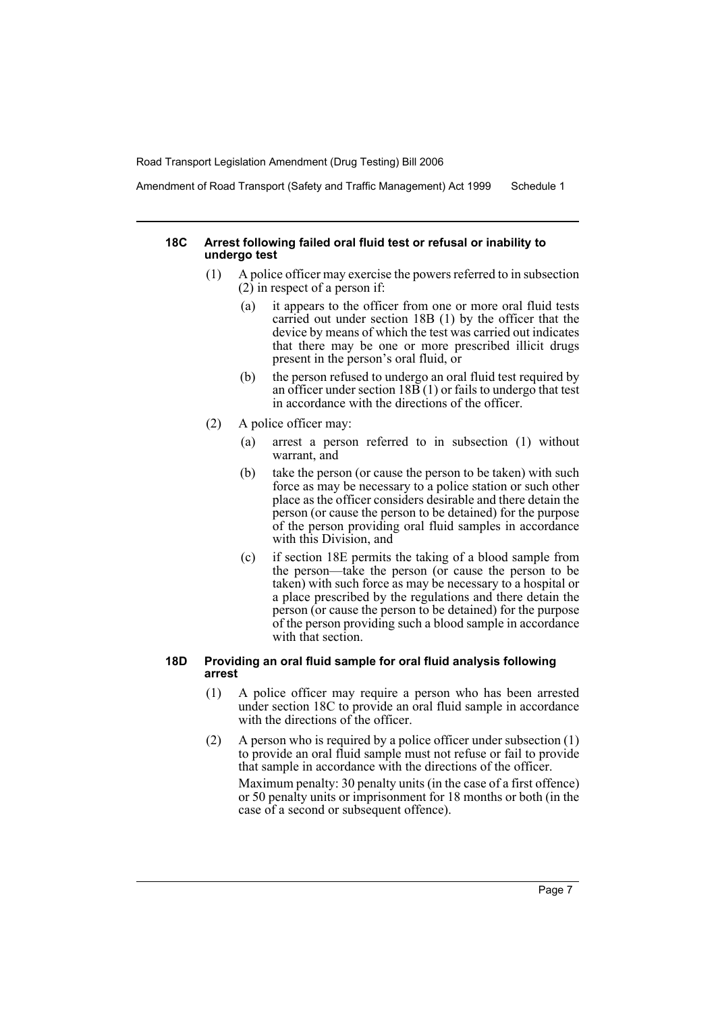Amendment of Road Transport (Safety and Traffic Management) Act 1999 Schedule 1

#### **18C Arrest following failed oral fluid test or refusal or inability to undergo test**

- (1) A police officer may exercise the powers referred to in subsection  $(2)$  in respect of a person if:
	- (a) it appears to the officer from one or more oral fluid tests carried out under section 18B (1) by the officer that the device by means of which the test was carried out indicates that there may be one or more prescribed illicit drugs present in the person's oral fluid, or
	- (b) the person refused to undergo an oral fluid test required by an officer under section  $18\overline{B}(1)$  or fails to undergo that test in accordance with the directions of the officer.
- (2) A police officer may:
	- (a) arrest a person referred to in subsection (1) without warrant, and
	- (b) take the person (or cause the person to be taken) with such force as may be necessary to a police station or such other place as the officer considers desirable and there detain the person (or cause the person to be detained) for the purpose of the person providing oral fluid samples in accordance with this Division, and
	- (c) if section 18E permits the taking of a blood sample from the person—take the person (or cause the person to be taken) with such force as may be necessary to a hospital or a place prescribed by the regulations and there detain the person (or cause the person to be detained) for the purpose of the person providing such a blood sample in accordance with that section.

## **18D Providing an oral fluid sample for oral fluid analysis following arrest**

- (1) A police officer may require a person who has been arrested under section 18C to provide an oral fluid sample in accordance with the directions of the officer.
- (2) A person who is required by a police officer under subsection (1) to provide an oral fluid sample must not refuse or fail to provide that sample in accordance with the directions of the officer. Maximum penalty: 30 penalty units (in the case of a first offence) or 50 penalty units or imprisonment for 18 months or both (in the case of a second or subsequent offence).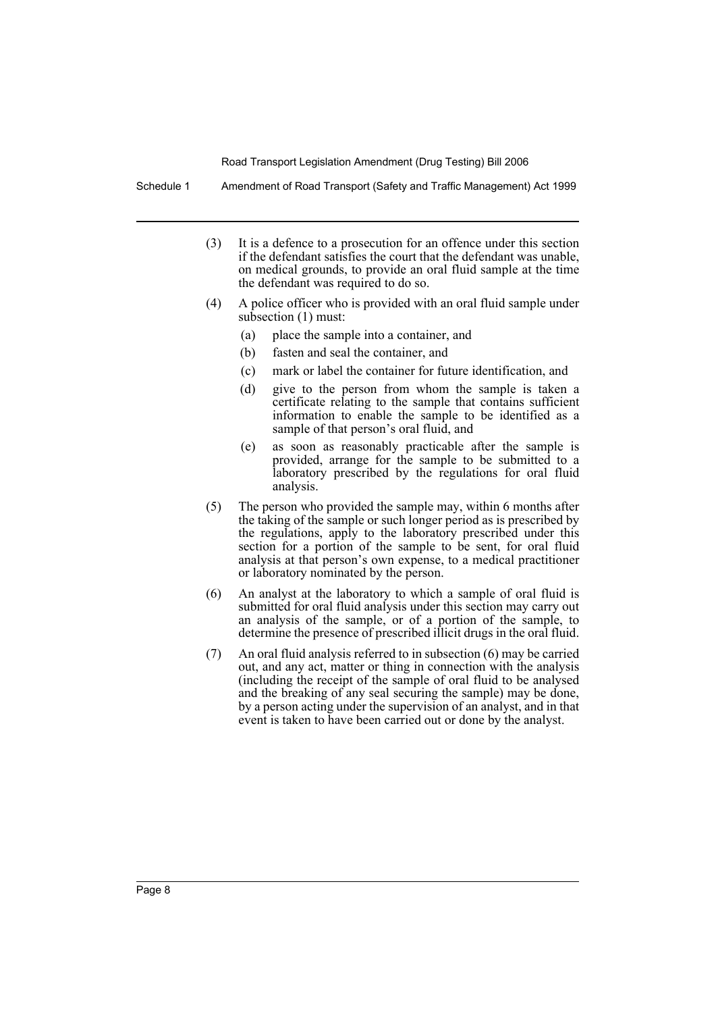Schedule 1 Amendment of Road Transport (Safety and Traffic Management) Act 1999

- (3) It is a defence to a prosecution for an offence under this section if the defendant satisfies the court that the defendant was unable, on medical grounds, to provide an oral fluid sample at the time the defendant was required to do so.
- (4) A police officer who is provided with an oral fluid sample under subsection (1) must:
	- (a) place the sample into a container, and
	- (b) fasten and seal the container, and
	- (c) mark or label the container for future identification, and
	- (d) give to the person from whom the sample is taken a certificate relating to the sample that contains sufficient information to enable the sample to be identified as a sample of that person's oral fluid, and
	- (e) as soon as reasonably practicable after the sample is provided, arrange for the sample to be submitted to a laboratory prescribed by the regulations for oral fluid analysis.
- (5) The person who provided the sample may, within 6 months after the taking of the sample or such longer period as is prescribed by the regulations, apply to the laboratory prescribed under this section for a portion of the sample to be sent, for oral fluid analysis at that person's own expense, to a medical practitioner or laboratory nominated by the person.
- (6) An analyst at the laboratory to which a sample of oral fluid is submitted for oral fluid analysis under this section may carry out an analysis of the sample, or of a portion of the sample, to determine the presence of prescribed illicit drugs in the oral fluid.
- (7) An oral fluid analysis referred to in subsection (6) may be carried out, and any act, matter or thing in connection with the analysis (including the receipt of the sample of oral fluid to be analysed and the breaking of any seal securing the sample) may be done, by a person acting under the supervision of an analyst, and in that event is taken to have been carried out or done by the analyst.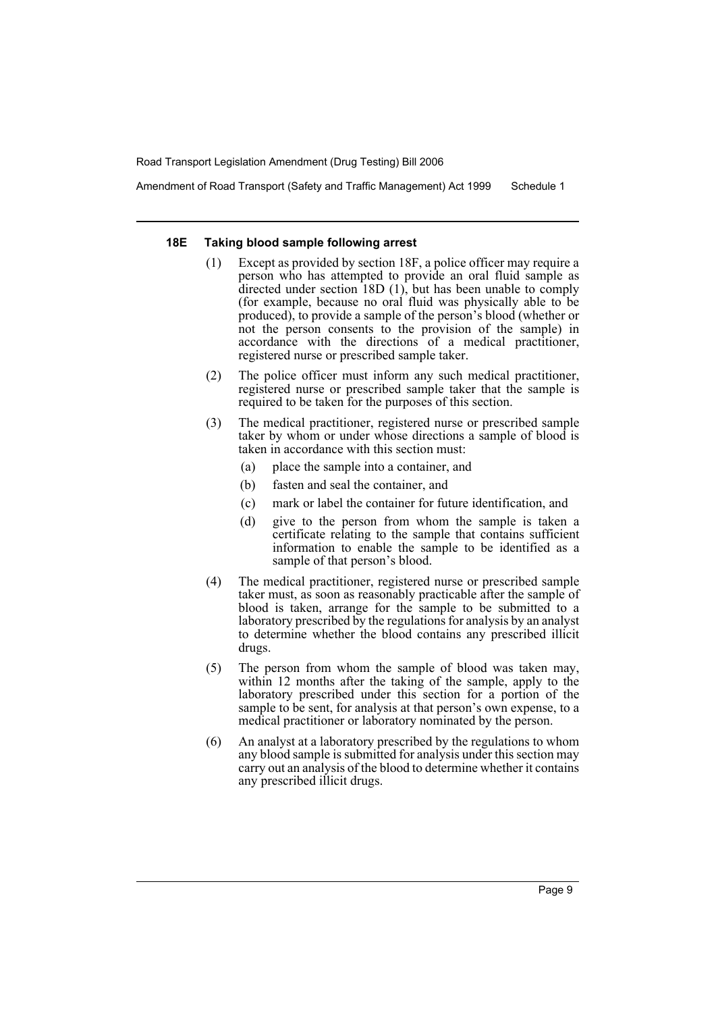Amendment of Road Transport (Safety and Traffic Management) Act 1999 Schedule 1

#### **18E Taking blood sample following arrest**

- (1) Except as provided by section 18F, a police officer may require a person who has attempted to provide an oral fluid sample as directed under section 18D (1), but has been unable to comply (for example, because no oral fluid was physically able to be produced), to provide a sample of the person's blood (whether or not the person consents to the provision of the sample) in accordance with the directions of a medical practitioner, registered nurse or prescribed sample taker.
- (2) The police officer must inform any such medical practitioner, registered nurse or prescribed sample taker that the sample is required to be taken for the purposes of this section.
- (3) The medical practitioner, registered nurse or prescribed sample taker by whom or under whose directions a sample of blood is taken in accordance with this section must:
	- (a) place the sample into a container, and
	- (b) fasten and seal the container, and
	- (c) mark or label the container for future identification, and
	- (d) give to the person from whom the sample is taken a certificate relating to the sample that contains sufficient information to enable the sample to be identified as a sample of that person's blood.
- (4) The medical practitioner, registered nurse or prescribed sample taker must, as soon as reasonably practicable after the sample of blood is taken, arrange for the sample to be submitted to a laboratory prescribed by the regulations for analysis by an analyst to determine whether the blood contains any prescribed illicit drugs.
- (5) The person from whom the sample of blood was taken may, within 12 months after the taking of the sample, apply to the laboratory prescribed under this section for a portion of the sample to be sent, for analysis at that person's own expense, to a medical practitioner or laboratory nominated by the person.
- (6) An analyst at a laboratory prescribed by the regulations to whom any blood sample is submitted for analysis under this section may carry out an analysis of the blood to determine whether it contains any prescribed illicit drugs.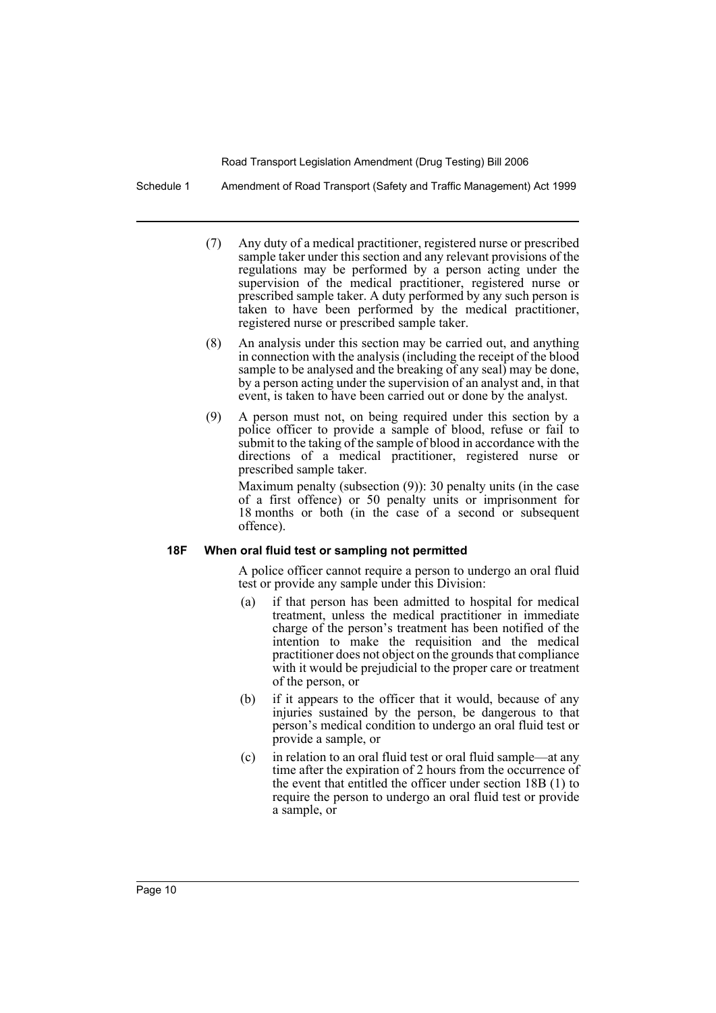Schedule 1 Amendment of Road Transport (Safety and Traffic Management) Act 1999

- (7) Any duty of a medical practitioner, registered nurse or prescribed sample taker under this section and any relevant provisions of the regulations may be performed by a person acting under the supervision of the medical practitioner, registered nurse or prescribed sample taker. A duty performed by any such person is taken to have been performed by the medical practitioner, registered nurse or prescribed sample taker.
- (8) An analysis under this section may be carried out, and anything in connection with the analysis (including the receipt of the blood sample to be analysed and the breaking of any seal) may be done, by a person acting under the supervision of an analyst and, in that event, is taken to have been carried out or done by the analyst.
- (9) A person must not, on being required under this section by a police officer to provide a sample of blood, refuse or fail to submit to the taking of the sample of blood in accordance with the directions of a medical practitioner, registered nurse or prescribed sample taker.

Maximum penalty (subsection (9)): 30 penalty units (in the case of a first offence) or 50 penalty units or imprisonment for 18 months or both (in the case of a second or subsequent offence).

#### **18F When oral fluid test or sampling not permitted**

A police officer cannot require a person to undergo an oral fluid test or provide any sample under this Division:

- (a) if that person has been admitted to hospital for medical treatment, unless the medical practitioner in immediate charge of the person's treatment has been notified of the intention to make the requisition and the medical practitioner does not object on the grounds that compliance with it would be prejudicial to the proper care or treatment of the person, or
- (b) if it appears to the officer that it would, because of any injuries sustained by the person, be dangerous to that person's medical condition to undergo an oral fluid test or provide a sample, or
- (c) in relation to an oral fluid test or oral fluid sample—at any time after the expiration of 2 hours from the occurrence of the event that entitled the officer under section 18B (1) to require the person to undergo an oral fluid test or provide a sample, or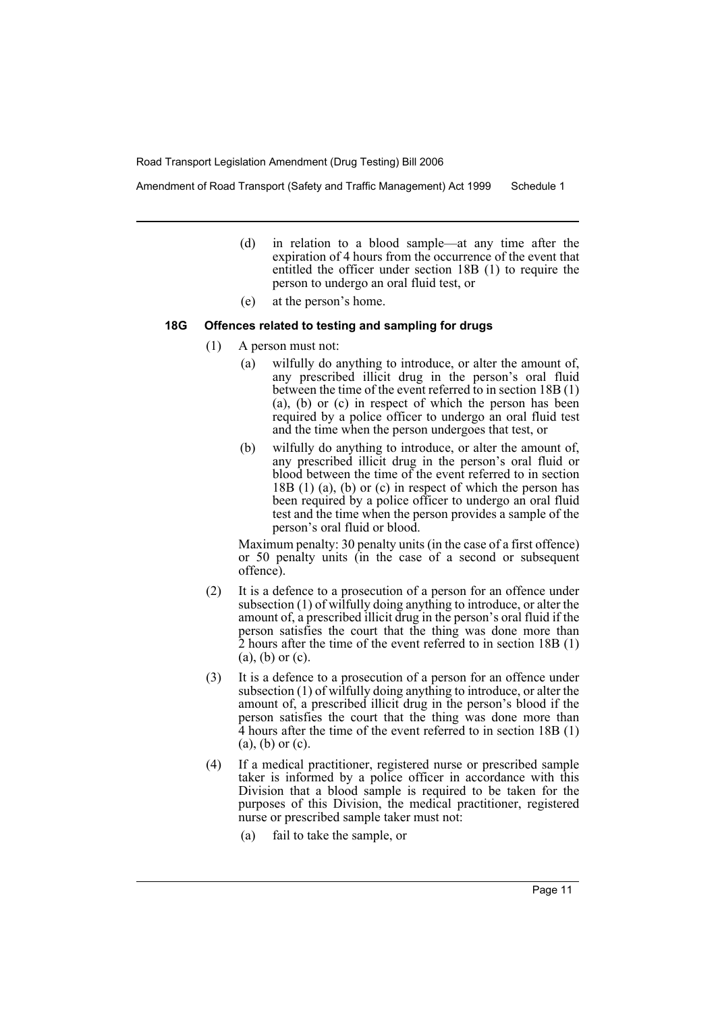Amendment of Road Transport (Safety and Traffic Management) Act 1999 Schedule 1

- (d) in relation to a blood sample—at any time after the expiration of 4 hours from the occurrence of the event that entitled the officer under section 18B (1) to require the person to undergo an oral fluid test, or
- (e) at the person's home.

#### **18G Offences related to testing and sampling for drugs**

- (1) A person must not:
	- (a) wilfully do anything to introduce, or alter the amount of, any prescribed illicit drug in the person's oral fluid between the time of the event referred to in section 18B (1) (a), (b) or (c) in respect of which the person has been required by a police officer to undergo an oral fluid test and the time when the person undergoes that test, or
	- (b) wilfully do anything to introduce, or alter the amount of, any prescribed illicit drug in the person's oral fluid or blood between the time of the event referred to in section 18B (1) (a), (b) or (c) in respect of which the person has been required by a police officer to undergo an oral fluid test and the time when the person provides a sample of the person's oral fluid or blood.

Maximum penalty: 30 penalty units (in the case of a first offence) or 50 penalty units (in the case of a second or subsequent offence).

- (2) It is a defence to a prosecution of a person for an offence under subsection (1) of wilfully doing anything to introduce, or alter the amount of, a prescribed illicit drug in the person's oral fluid if the person satisfies the court that the thing was done more than 2 hours after the time of the event referred to in section 18B (1) (a), (b) or (c).
- (3) It is a defence to a prosecution of a person for an offence under subsection (1) of wilfully doing anything to introduce, or alter the amount of, a prescribed illicit drug in the person's blood if the person satisfies the court that the thing was done more than 4 hours after the time of the event referred to in section 18B (1) (a), (b) or (c).
- (4) If a medical practitioner, registered nurse or prescribed sample taker is informed by a police officer in accordance with this Division that a blood sample is required to be taken for the purposes of this Division, the medical practitioner, registered nurse or prescribed sample taker must not:
	- (a) fail to take the sample, or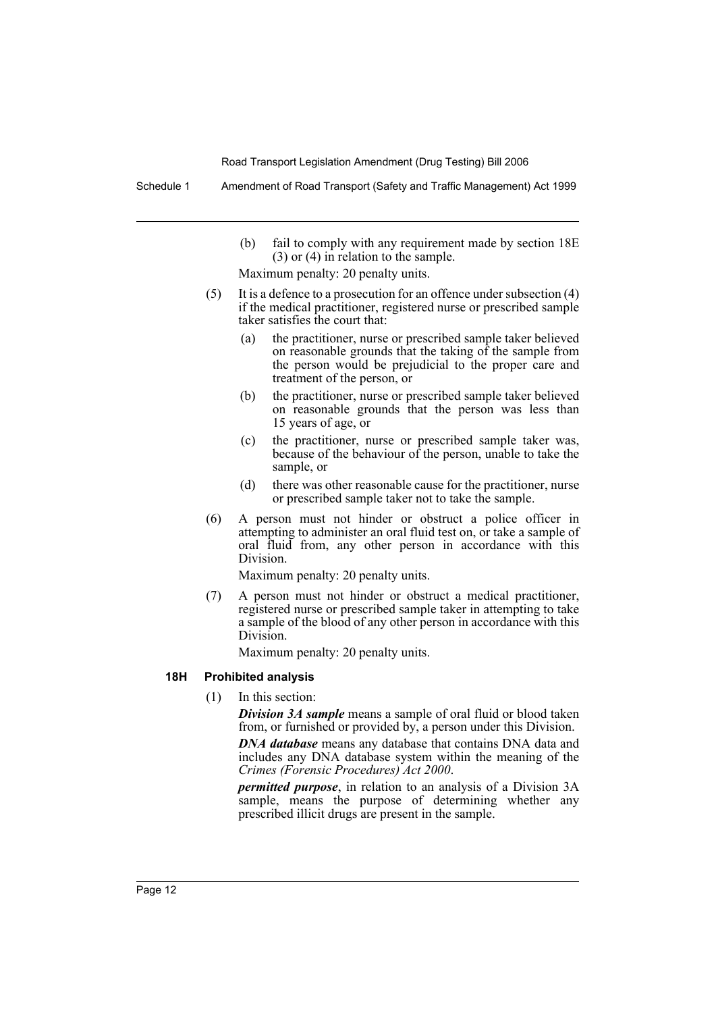Schedule 1 Amendment of Road Transport (Safety and Traffic Management) Act 1999

(b) fail to comply with any requirement made by section 18E (3) or (4) in relation to the sample.

Maximum penalty: 20 penalty units.

- (5) It is a defence to a prosecution for an offence under subsection (4) if the medical practitioner, registered nurse or prescribed sample taker satisfies the court that:
	- (a) the practitioner, nurse or prescribed sample taker believed on reasonable grounds that the taking of the sample from the person would be prejudicial to the proper care and treatment of the person, or
	- (b) the practitioner, nurse or prescribed sample taker believed on reasonable grounds that the person was less than 15 years of age, or
	- (c) the practitioner, nurse or prescribed sample taker was, because of the behaviour of the person, unable to take the sample, or
	- (d) there was other reasonable cause for the practitioner, nurse or prescribed sample taker not to take the sample.
- (6) A person must not hinder or obstruct a police officer in attempting to administer an oral fluid test on, or take a sample of oral fluid from, any other person in accordance with this Division.

Maximum penalty: 20 penalty units.

(7) A person must not hinder or obstruct a medical practitioner, registered nurse or prescribed sample taker in attempting to take a sample of the blood of any other person in accordance with this Division.

Maximum penalty: 20 penalty units.

## **18H Prohibited analysis**

(1) In this section:

*Division 3A sample* means a sample of oral fluid or blood taken from, or furnished or provided by, a person under this Division.

*DNA database* means any database that contains DNA data and includes any DNA database system within the meaning of the *Crimes (Forensic Procedures) Act 2000*.

*permitted purpose*, in relation to an analysis of a Division 3A sample, means the purpose of determining whether any prescribed illicit drugs are present in the sample.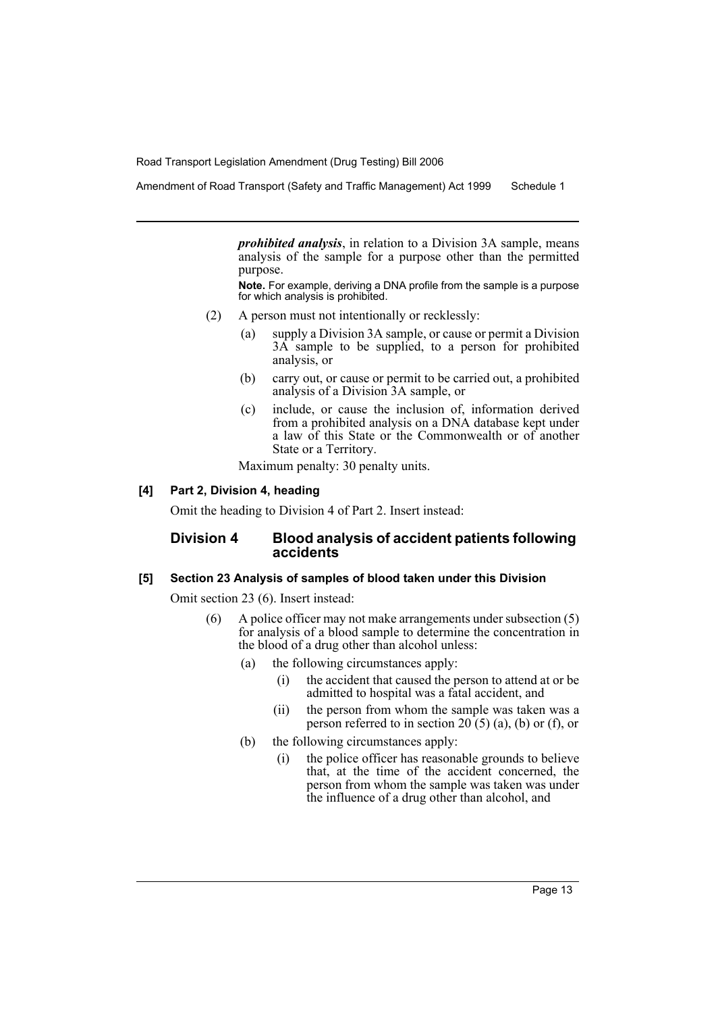Amendment of Road Transport (Safety and Traffic Management) Act 1999 Schedule 1

*prohibited analysis*, in relation to a Division 3A sample, means analysis of the sample for a purpose other than the permitted purpose.

**Note.** For example, deriving a DNA profile from the sample is a purpose for which analysis is prohibited.

- (2) A person must not intentionally or recklessly:
	- (a) supply a Division 3A sample, or cause or permit a Division 3A sample to be supplied, to a person for prohibited analysis, or
	- (b) carry out, or cause or permit to be carried out, a prohibited analysis of a Division 3A sample, or
	- (c) include, or cause the inclusion of, information derived from a prohibited analysis on a DNA database kept under a law of this State or the Commonwealth or of another State or a Territory.

Maximum penalty: 30 penalty units.

## **[4] Part 2, Division 4, heading**

Omit the heading to Division 4 of Part 2. Insert instead:

## **Division 4 Blood analysis of accident patients following accidents**

#### **[5] Section 23 Analysis of samples of blood taken under this Division**

Omit section 23 (6). Insert instead:

- (6) A police officer may not make arrangements under subsection (5) for analysis of a blood sample to determine the concentration in the blood of a drug other than alcohol unless:
	- (a) the following circumstances apply:
		- (i) the accident that caused the person to attend at or be admitted to hospital was a fatal accident, and
		- (ii) the person from whom the sample was taken was a person referred to in section  $20(5)$  (a), (b) or (f), or
	- (b) the following circumstances apply:
		- (i) the police officer has reasonable grounds to believe that, at the time of the accident concerned, the person from whom the sample was taken was under the influence of a drug other than alcohol, and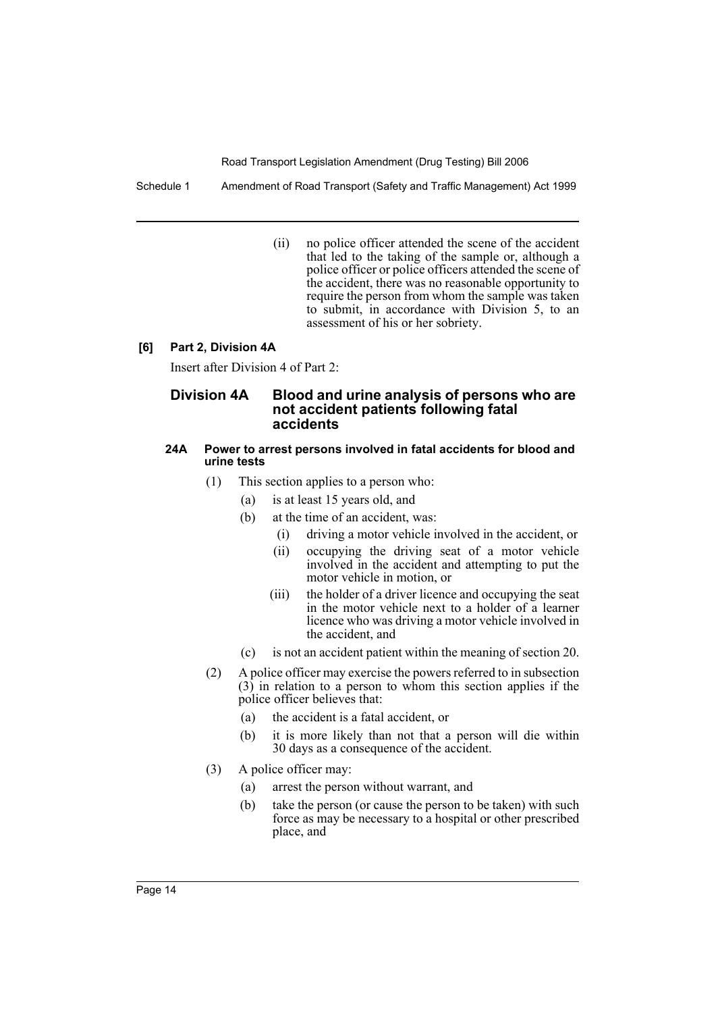Schedule 1 Amendment of Road Transport (Safety and Traffic Management) Act 1999

(ii) no police officer attended the scene of the accident that led to the taking of the sample or, although a police officer or police officers attended the scene of the accident, there was no reasonable opportunity to require the person from whom the sample was taken to submit, in accordance with Division 5, to an assessment of his or her sobriety.

## **[6] Part 2, Division 4A**

Insert after Division 4 of Part 2:

## **Division 4A Blood and urine analysis of persons who are not accident patients following fatal accidents**

#### **24A Power to arrest persons involved in fatal accidents for blood and urine tests**

- (1) This section applies to a person who:
	- (a) is at least 15 years old, and
		- (b) at the time of an accident, was:
			- (i) driving a motor vehicle involved in the accident, or
			- (ii) occupying the driving seat of a motor vehicle involved in the accident and attempting to put the motor vehicle in motion, or
			- (iii) the holder of a driver licence and occupying the seat in the motor vehicle next to a holder of a learner licence who was driving a motor vehicle involved in the accident, and
		- (c) is not an accident patient within the meaning of section 20.
- (2) A police officer may exercise the powers referred to in subsection  $(3)$  in relation to a person to whom this section applies if the police officer believes that:
	- (a) the accident is a fatal accident, or
	- (b) it is more likely than not that a person will die within 30 days as a consequence of the accident.
- (3) A police officer may:
	- (a) arrest the person without warrant, and
	- (b) take the person (or cause the person to be taken) with such force as may be necessary to a hospital or other prescribed place, and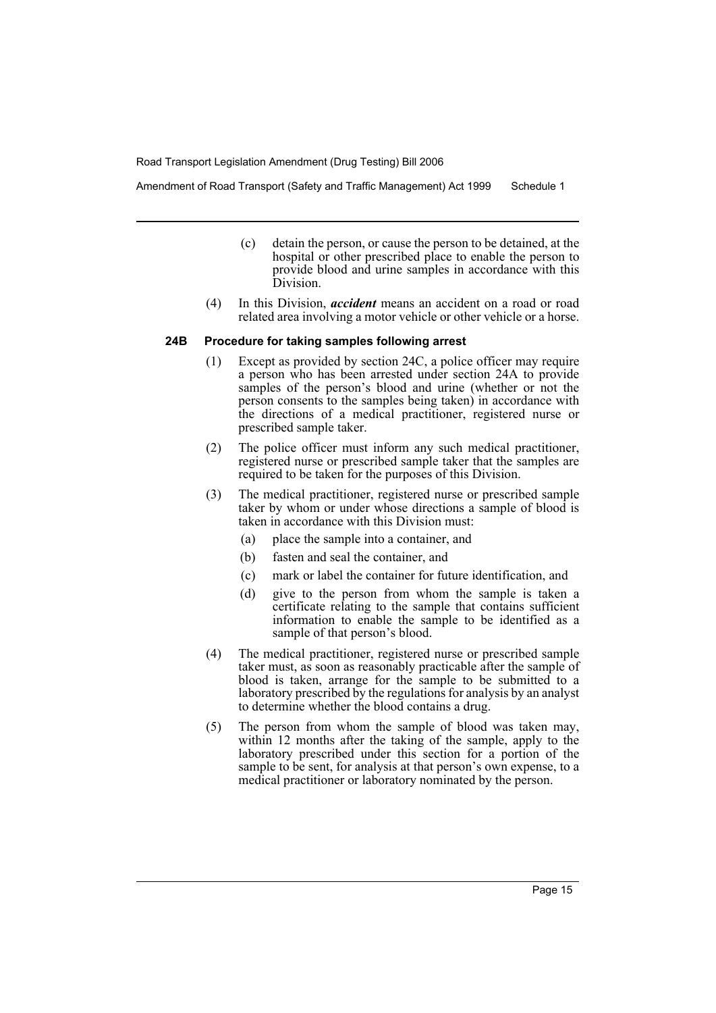Amendment of Road Transport (Safety and Traffic Management) Act 1999 Schedule 1

- (c) detain the person, or cause the person to be detained, at the hospital or other prescribed place to enable the person to provide blood and urine samples in accordance with this Division.
- (4) In this Division, *accident* means an accident on a road or road related area involving a motor vehicle or other vehicle or a horse.

#### **24B Procedure for taking samples following arrest**

- (1) Except as provided by section 24C, a police officer may require a person who has been arrested under section 24A to provide samples of the person's blood and urine (whether or not the person consents to the samples being taken) in accordance with the directions of a medical practitioner, registered nurse or prescribed sample taker.
- (2) The police officer must inform any such medical practitioner, registered nurse or prescribed sample taker that the samples are required to be taken for the purposes of this Division.
- (3) The medical practitioner, registered nurse or prescribed sample taker by whom or under whose directions a sample of blood is taken in accordance with this Division must:
	- (a) place the sample into a container, and
	- (b) fasten and seal the container, and
	- (c) mark or label the container for future identification, and
	- (d) give to the person from whom the sample is taken a certificate relating to the sample that contains sufficient information to enable the sample to be identified as a sample of that person's blood.
- (4) The medical practitioner, registered nurse or prescribed sample taker must, as soon as reasonably practicable after the sample of blood is taken, arrange for the sample to be submitted to a laboratory prescribed by the regulations for analysis by an analyst to determine whether the blood contains a drug.
- (5) The person from whom the sample of blood was taken may, within 12 months after the taking of the sample, apply to the laboratory prescribed under this section for a portion of the sample to be sent, for analysis at that person's own expense, to a medical practitioner or laboratory nominated by the person.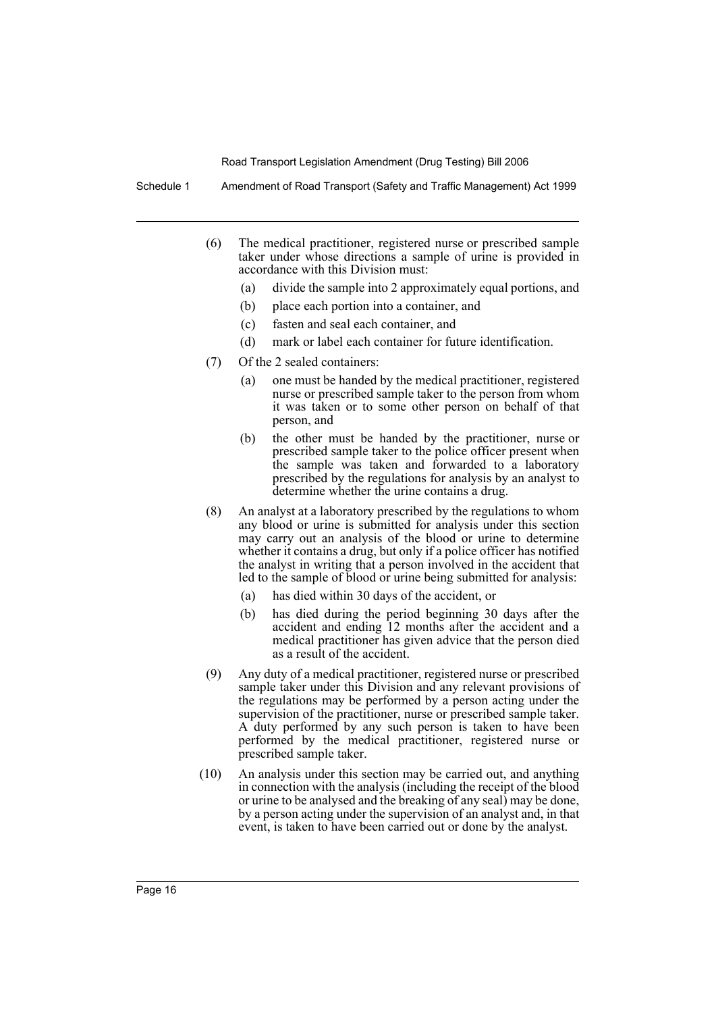Schedule 1 Amendment of Road Transport (Safety and Traffic Management) Act 1999

- (6) The medical practitioner, registered nurse or prescribed sample taker under whose directions a sample of urine is provided in accordance with this Division must:
	- (a) divide the sample into 2 approximately equal portions, and
	- (b) place each portion into a container, and
	- (c) fasten and seal each container, and
	- (d) mark or label each container for future identification.
- (7) Of the 2 sealed containers:
	- (a) one must be handed by the medical practitioner, registered nurse or prescribed sample taker to the person from whom it was taken or to some other person on behalf of that person, and
	- (b) the other must be handed by the practitioner, nurse or prescribed sample taker to the police officer present when the sample was taken and forwarded to a laboratory prescribed by the regulations for analysis by an analyst to determine whether the urine contains a drug.
- (8) An analyst at a laboratory prescribed by the regulations to whom any blood or urine is submitted for analysis under this section may carry out an analysis of the blood or urine to determine whether it contains a drug, but only if a police officer has notified the analyst in writing that a person involved in the accident that led to the sample of blood or urine being submitted for analysis:
	- (a) has died within 30 days of the accident, or
	- (b) has died during the period beginning 30 days after the accident and ending 12 months after the accident and a medical practitioner has given advice that the person died as a result of the accident.
- (9) Any duty of a medical practitioner, registered nurse or prescribed sample taker under this Division and any relevant provisions of the regulations may be performed by a person acting under the supervision of the practitioner, nurse or prescribed sample taker. A duty performed by any such person is taken to have been performed by the medical practitioner, registered nurse or prescribed sample taker.
- (10) An analysis under this section may be carried out, and anything in connection with the analysis (including the receipt of the blood or urine to be analysed and the breaking of any seal) may be done, by a person acting under the supervision of an analyst and, in that event, is taken to have been carried out or done by the analyst.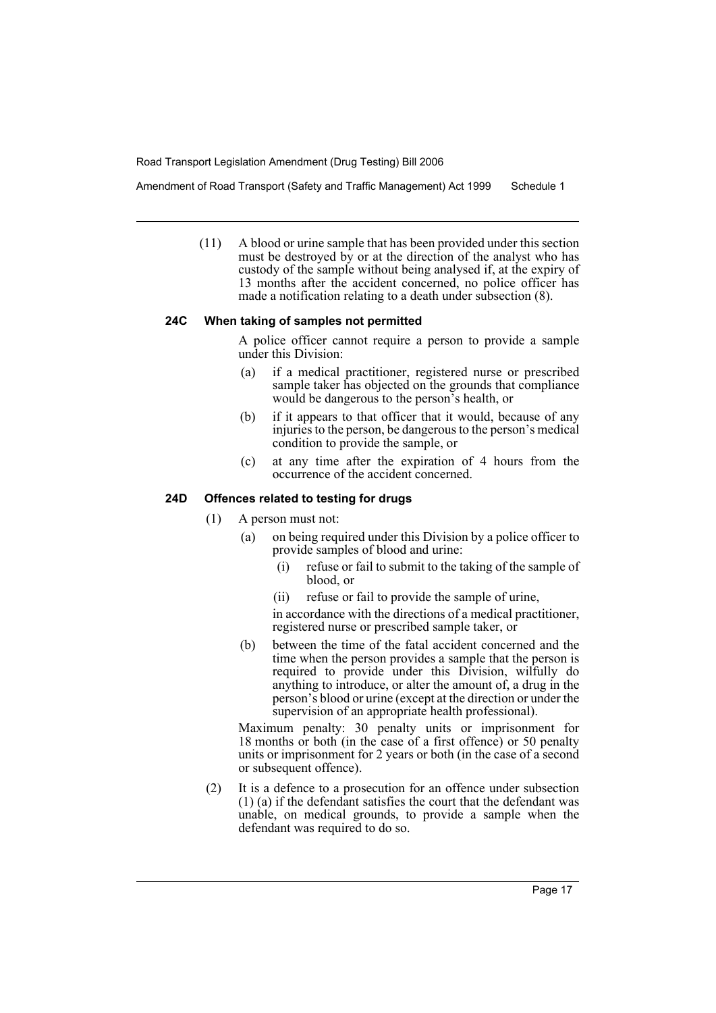Amendment of Road Transport (Safety and Traffic Management) Act 1999 Schedule 1

(11) A blood or urine sample that has been provided under this section must be destroyed by or at the direction of the analyst who has custody of the sample without being analysed if, at the expiry of 13 months after the accident concerned, no police officer has made a notification relating to a death under subsection (8).

## **24C When taking of samples not permitted**

A police officer cannot require a person to provide a sample under this Division:

- (a) if a medical practitioner, registered nurse or prescribed sample taker has objected on the grounds that compliance would be dangerous to the person's health, or
- (b) if it appears to that officer that it would, because of any injuries to the person, be dangerous to the person's medical condition to provide the sample, or
- (c) at any time after the expiration of 4 hours from the occurrence of the accident concerned.

#### **24D Offences related to testing for drugs**

- (1) A person must not:
	- (a) on being required under this Division by a police officer to provide samples of blood and urine:
		- (i) refuse or fail to submit to the taking of the sample of blood, or
		- (ii) refuse or fail to provide the sample of urine,

in accordance with the directions of a medical practitioner, registered nurse or prescribed sample taker, or

(b) between the time of the fatal accident concerned and the time when the person provides a sample that the person is required to provide under this Division, wilfully do anything to introduce, or alter the amount of, a drug in the person's blood or urine (except at the direction or under the supervision of an appropriate health professional).

Maximum penalty: 30 penalty units or imprisonment for 18 months or both (in the case of a first offence) or 50 penalty units or imprisonment for 2 years or both (in the case of a second or subsequent offence).

(2) It is a defence to a prosecution for an offence under subsection (1) (a) if the defendant satisfies the court that the defendant was unable, on medical grounds, to provide a sample when the defendant was required to do so.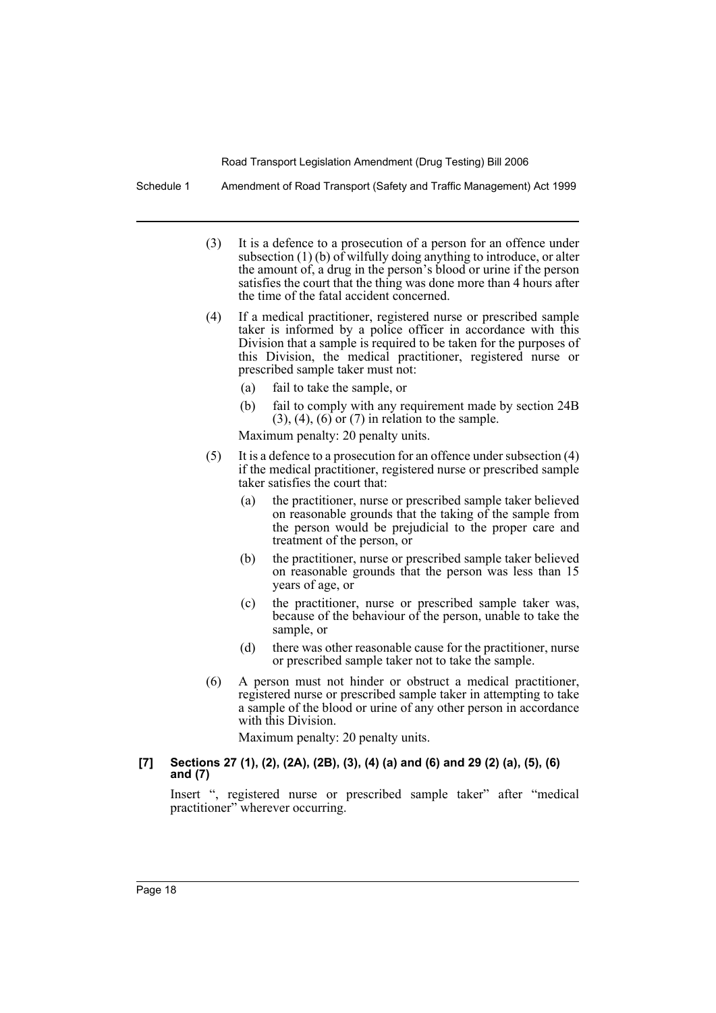Schedule 1 Amendment of Road Transport (Safety and Traffic Management) Act 1999

- (3) It is a defence to a prosecution of a person for an offence under subsection  $(1)$  (b) of wilfully doing anything to introduce, or alter the amount of, a drug in the person's blood or urine if the person satisfies the court that the thing was done more than 4 hours after the time of the fatal accident concerned.
- (4) If a medical practitioner, registered nurse or prescribed sample taker is informed by a police officer in accordance with this Division that a sample is required to be taken for the purposes of this Division, the medical practitioner, registered nurse or prescribed sample taker must not:
	- (a) fail to take the sample, or
	- (b) fail to comply with any requirement made by section 24B  $(3)$ ,  $(4)$ ,  $(6)$  or  $(7)$  in relation to the sample.

Maximum penalty: 20 penalty units.

- (5) It is a defence to a prosecution for an offence under subsection (4) if the medical practitioner, registered nurse or prescribed sample taker satisfies the court that:
	- (a) the practitioner, nurse or prescribed sample taker believed on reasonable grounds that the taking of the sample from the person would be prejudicial to the proper care and treatment of the person, or
	- (b) the practitioner, nurse or prescribed sample taker believed on reasonable grounds that the person was less than 15 years of age, or
	- (c) the practitioner, nurse or prescribed sample taker was, because of the behaviour of the person, unable to take the sample, or
	- (d) there was other reasonable cause for the practitioner, nurse or prescribed sample taker not to take the sample.
- (6) A person must not hinder or obstruct a medical practitioner, registered nurse or prescribed sample taker in attempting to take a sample of the blood or urine of any other person in accordance with this Division.

Maximum penalty: 20 penalty units.

#### **[7] Sections 27 (1), (2), (2A), (2B), (3), (4) (a) and (6) and 29 (2) (a), (5), (6) and (7)**

Insert ", registered nurse or prescribed sample taker" after "medical practitioner" wherever occurring.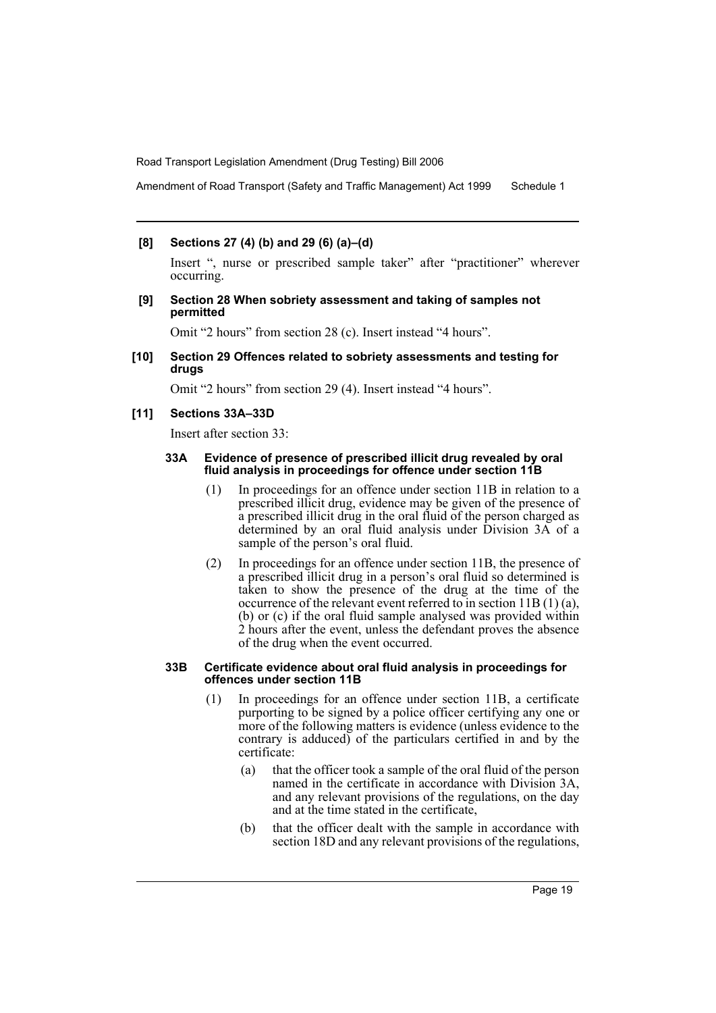Amendment of Road Transport (Safety and Traffic Management) Act 1999 Schedule 1

#### **[8] Sections 27 (4) (b) and 29 (6) (a)–(d)**

Insert ", nurse or prescribed sample taker" after "practitioner" wherever occurring.

**[9] Section 28 When sobriety assessment and taking of samples not permitted**

Omit "2 hours" from section 28 (c). Insert instead "4 hours".

**[10] Section 29 Offences related to sobriety assessments and testing for drugs**

Omit "2 hours" from section 29 (4). Insert instead "4 hours".

#### **[11] Sections 33A–33D**

Insert after section 33:

#### **33A Evidence of presence of prescribed illicit drug revealed by oral fluid analysis in proceedings for offence under section 11B**

- (1) In proceedings for an offence under section 11B in relation to a prescribed illicit drug, evidence may be given of the presence of a prescribed illicit drug in the oral fluid of the person charged as determined by an oral fluid analysis under Division 3A of a sample of the person's oral fluid.
- (2) In proceedings for an offence under section 11B, the presence of a prescribed illicit drug in a person's oral fluid so determined is taken to show the presence of the drug at the time of the occurrence of the relevant event referred to in section 11B (1) (a), (b) or (c) if the oral fluid sample analysed was provided within 2 hours after the event, unless the defendant proves the absence of the drug when the event occurred.

#### **33B Certificate evidence about oral fluid analysis in proceedings for offences under section 11B**

- (1) In proceedings for an offence under section 11B, a certificate purporting to be signed by a police officer certifying any one or more of the following matters is evidence (unless evidence to the contrary is adduced) of the particulars certified in and by the certificate:
	- (a) that the officer took a sample of the oral fluid of the person named in the certificate in accordance with Division 3A, and any relevant provisions of the regulations, on the day and at the time stated in the certificate,
	- (b) that the officer dealt with the sample in accordance with section 18D and any relevant provisions of the regulations,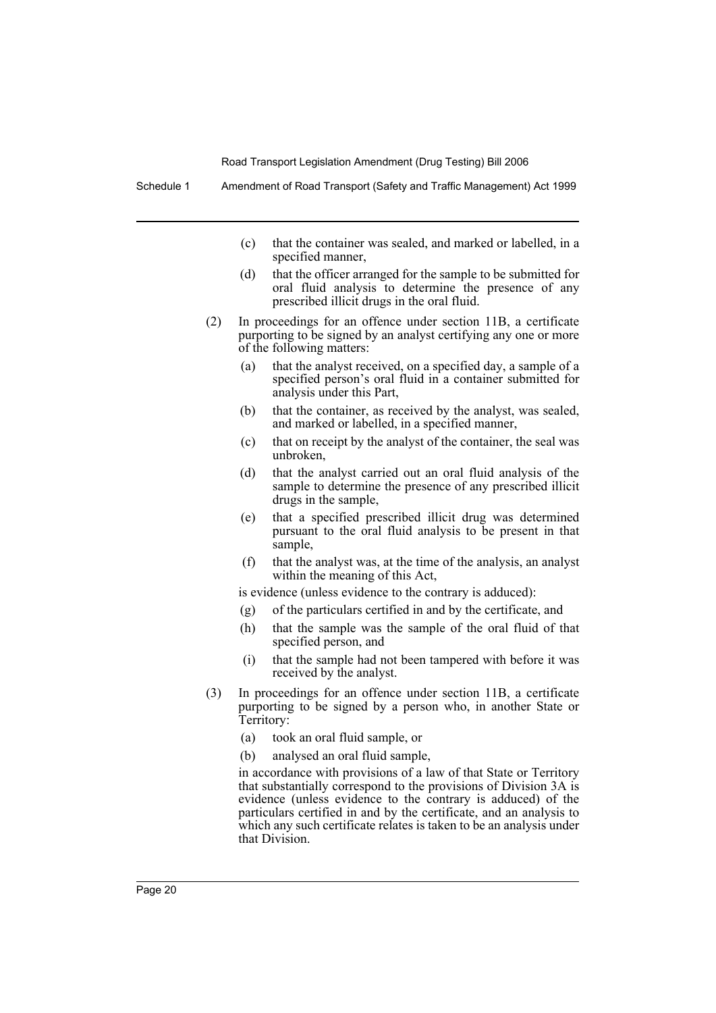Schedule 1 Amendment of Road Transport (Safety and Traffic Management) Act 1999

- (c) that the container was sealed, and marked or labelled, in a specified manner,
- (d) that the officer arranged for the sample to be submitted for oral fluid analysis to determine the presence of any prescribed illicit drugs in the oral fluid.
- (2) In proceedings for an offence under section 11B, a certificate purporting to be signed by an analyst certifying any one or more of the following matters:
	- (a) that the analyst received, on a specified day, a sample of a specified person's oral fluid in a container submitted for analysis under this Part,
	- (b) that the container, as received by the analyst, was sealed, and marked or labelled, in a specified manner,
	- (c) that on receipt by the analyst of the container, the seal was unbroken,
	- (d) that the analyst carried out an oral fluid analysis of the sample to determine the presence of any prescribed illicit drugs in the sample,
	- (e) that a specified prescribed illicit drug was determined pursuant to the oral fluid analysis to be present in that sample,
	- (f) that the analyst was, at the time of the analysis, an analyst within the meaning of this Act,

is evidence (unless evidence to the contrary is adduced):

- (g) of the particulars certified in and by the certificate, and
- (h) that the sample was the sample of the oral fluid of that specified person, and
- (i) that the sample had not been tampered with before it was received by the analyst.
- (3) In proceedings for an offence under section 11B, a certificate purporting to be signed by a person who, in another State or Territory:
	- (a) took an oral fluid sample, or
	- (b) analysed an oral fluid sample,

in accordance with provisions of a law of that State or Territory that substantially correspond to the provisions of Division 3A is evidence (unless evidence to the contrary is adduced) of the particulars certified in and by the certificate, and an analysis to which any such certificate relates is taken to be an analysis under that Division.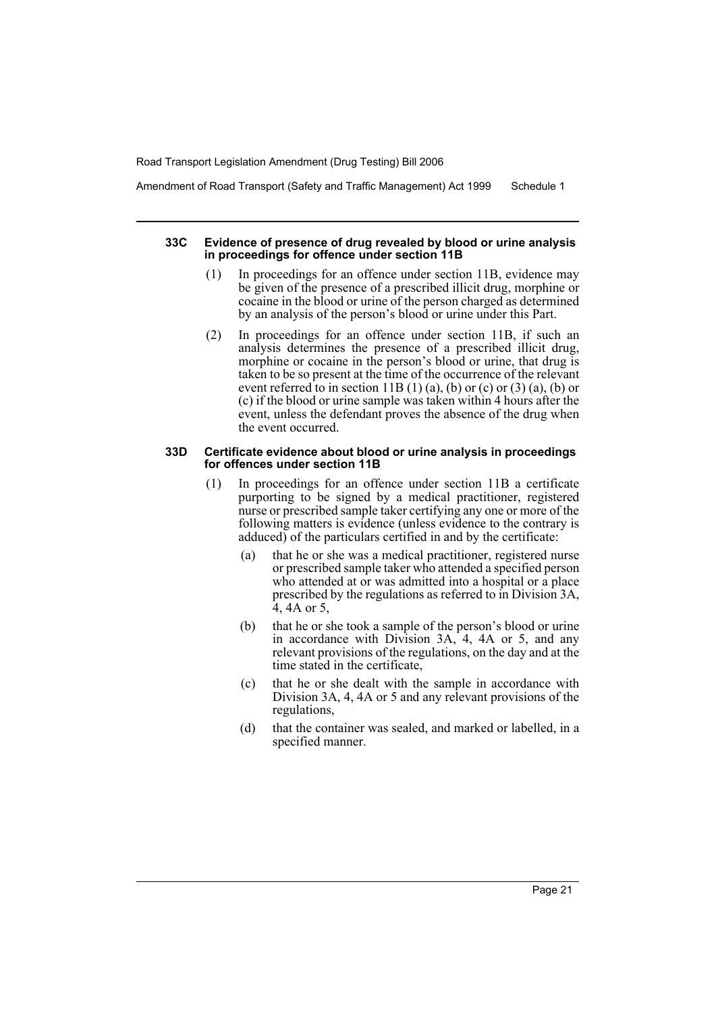Amendment of Road Transport (Safety and Traffic Management) Act 1999 Schedule 1

#### **33C Evidence of presence of drug revealed by blood or urine analysis in proceedings for offence under section 11B**

- (1) In proceedings for an offence under section 11B, evidence may be given of the presence of a prescribed illicit drug, morphine or cocaine in the blood or urine of the person charged as determined by an analysis of the person's blood or urine under this Part.
- (2) In proceedings for an offence under section 11B, if such an analysis determines the presence of a prescribed illicit drug, morphine or cocaine in the person's blood or urine, that drug is taken to be so present at the time of the occurrence of the relevant event referred to in section  $11B(1)$  (a), (b) or (c) or (3) (a), (b) or (c) if the blood or urine sample was taken within 4 hours after the event, unless the defendant proves the absence of the drug when the event occurred.

#### **33D Certificate evidence about blood or urine analysis in proceedings for offences under section 11B**

- (1) In proceedings for an offence under section 11B a certificate purporting to be signed by a medical practitioner, registered nurse or prescribed sample taker certifying any one or more of the following matters is evidence (unless evidence to the contrary is adduced) of the particulars certified in and by the certificate:
	- (a) that he or she was a medical practitioner, registered nurse or prescribed sample taker who attended a specified person who attended at or was admitted into a hospital or a place prescribed by the regulations as referred to in Division 3A, 4, 4A or 5,
	- (b) that he or she took a sample of the person's blood or urine in accordance with Division 3A, 4, 4A or 5, and any relevant provisions of the regulations, on the day and at the time stated in the certificate,
	- (c) that he or she dealt with the sample in accordance with Division 3A, 4, 4A or 5 and any relevant provisions of the regulations,
	- (d) that the container was sealed, and marked or labelled, in a specified manner.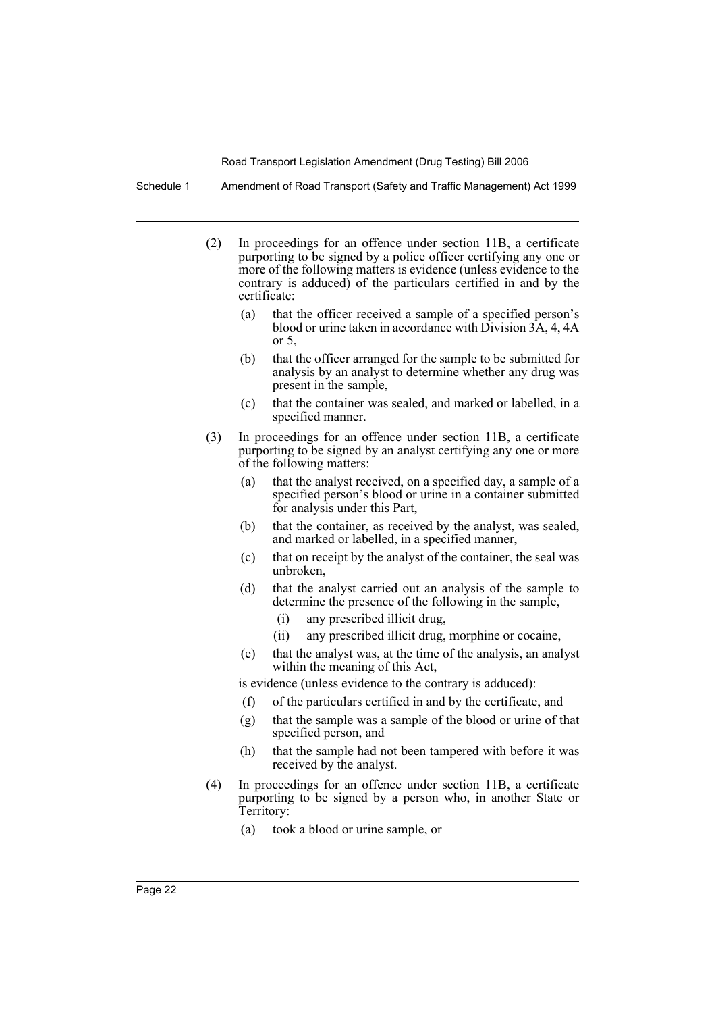Schedule 1 Amendment of Road Transport (Safety and Traffic Management) Act 1999

- (2) In proceedings for an offence under section 11B, a certificate purporting to be signed by a police officer certifying any one or more of the following matters is evidence (unless evidence to the contrary is adduced) of the particulars certified in and by the certificate:
	- (a) that the officer received a sample of a specified person's blood or urine taken in accordance with Division 3A, 4, 4A or 5,
	- (b) that the officer arranged for the sample to be submitted for analysis by an analyst to determine whether any drug was present in the sample,
	- (c) that the container was sealed, and marked or labelled, in a specified manner.
- (3) In proceedings for an offence under section 11B, a certificate purporting to be signed by an analyst certifying any one or more of the following matters:
	- (a) that the analyst received, on a specified day, a sample of a specified person's blood or urine in a container submitted for analysis under this Part,
	- (b) that the container, as received by the analyst, was sealed, and marked or labelled, in a specified manner,
	- (c) that on receipt by the analyst of the container, the seal was unbroken,
	- (d) that the analyst carried out an analysis of the sample to determine the presence of the following in the sample,
		- (i) any prescribed illicit drug,
		- (ii) any prescribed illicit drug, morphine or cocaine,
	- (e) that the analyst was, at the time of the analysis, an analyst within the meaning of this Act,

is evidence (unless evidence to the contrary is adduced):

- (f) of the particulars certified in and by the certificate, and
- (g) that the sample was a sample of the blood or urine of that specified person, and
- (h) that the sample had not been tampered with before it was received by the analyst.
- (4) In proceedings for an offence under section 11B, a certificate purporting to be signed by a person who, in another State or Territory:
	- (a) took a blood or urine sample, or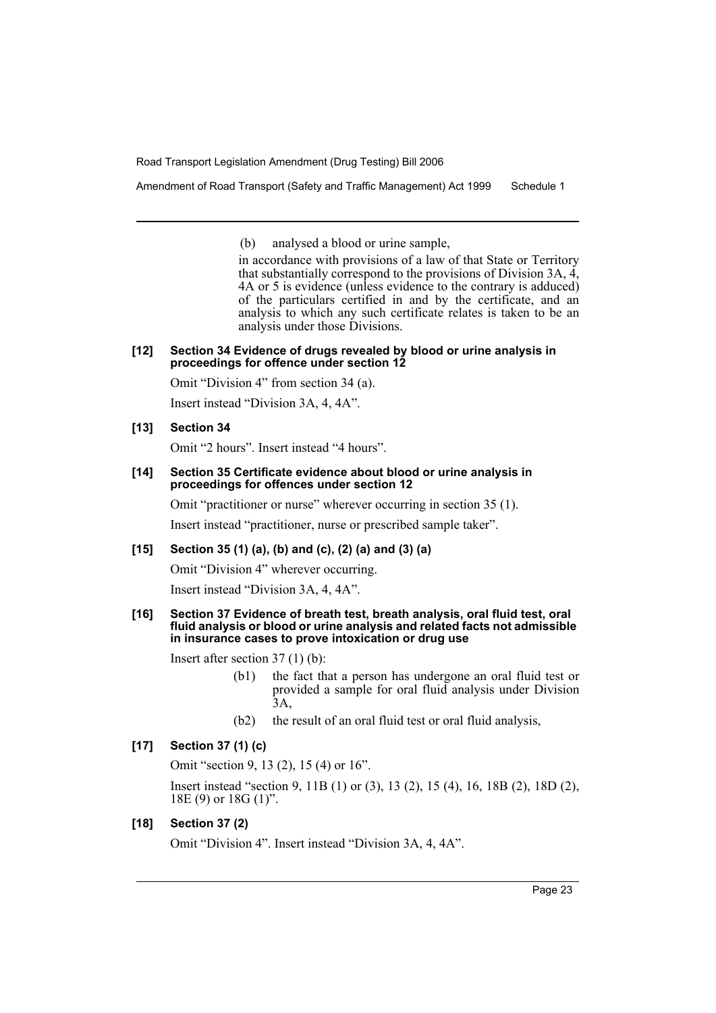Amendment of Road Transport (Safety and Traffic Management) Act 1999 Schedule 1

(b) analysed a blood or urine sample,

in accordance with provisions of a law of that State or Territory that substantially correspond to the provisions of Division 3A,  $\tilde{A}$ , 4A or 5 is evidence (unless evidence to the contrary is adduced) of the particulars certified in and by the certificate, and an analysis to which any such certificate relates is taken to be an analysis under those Divisions.

#### **[12] Section 34 Evidence of drugs revealed by blood or urine analysis in proceedings for offence under section 12**

Omit "Division 4" from section 34 (a).

Insert instead "Division 3A, 4, 4A".

#### **[13] Section 34**

Omit "2 hours". Insert instead "4 hours".

#### **[14] Section 35 Certificate evidence about blood or urine analysis in proceedings for offences under section 12**

Omit "practitioner or nurse" wherever occurring in section 35 (1).

Insert instead "practitioner, nurse or prescribed sample taker".

#### **[15] Section 35 (1) (a), (b) and (c), (2) (a) and (3) (a)**

Omit "Division 4" wherever occurring.

Insert instead "Division 3A, 4, 4A".

#### **[16] Section 37 Evidence of breath test, breath analysis, oral fluid test, oral fluid analysis or blood or urine analysis and related facts not admissible in insurance cases to prove intoxication or drug use**

Insert after section 37 (1) (b):

- (b1) the fact that a person has undergone an oral fluid test or provided a sample for oral fluid analysis under Division  $\hat{3}A$
- (b2) the result of an oral fluid test or oral fluid analysis,

## **[17] Section 37 (1) (c)**

Omit "section 9, 13 (2), 15 (4) or 16".

Insert instead "section 9, 11B (1) or (3), 13 (2), 15 (4), 16, 18B (2), 18D (2), 18E (9) or 18G (1)".

## **[18] Section 37 (2)**

Omit "Division 4". Insert instead "Division 3A, 4, 4A".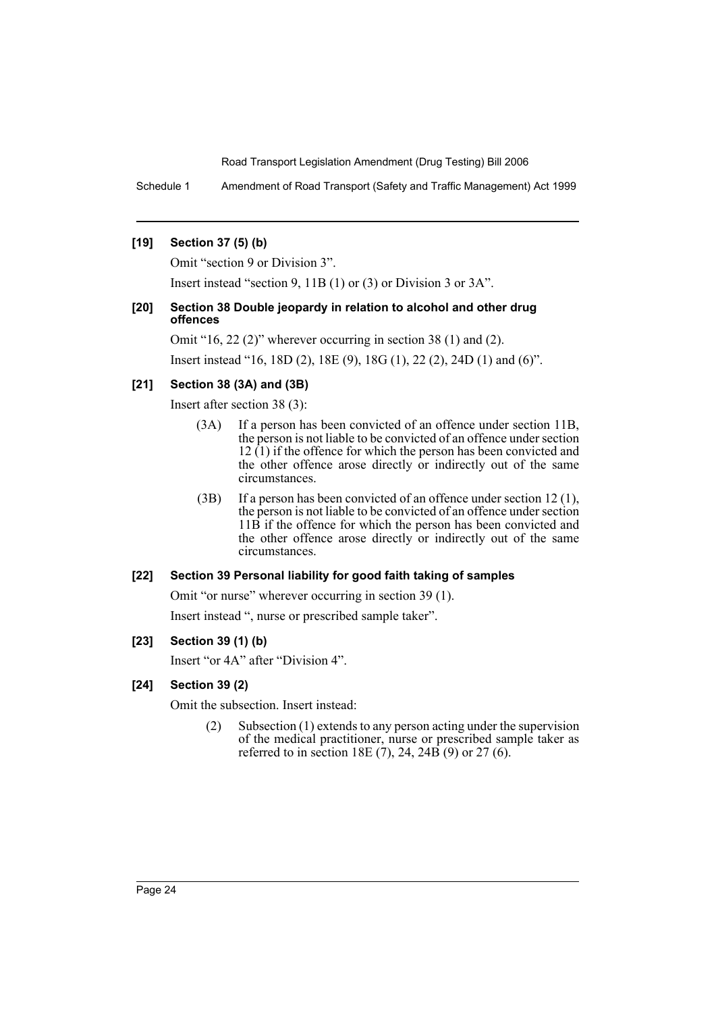Schedule 1 Amendment of Road Transport (Safety and Traffic Management) Act 1999

#### **[19] Section 37 (5) (b)**

Omit "section 9 or Division 3".

Insert instead "section 9, 11B (1) or (3) or Division 3 or 3A".

## **[20] Section 38 Double jeopardy in relation to alcohol and other drug offences**

Omit "16, 22 (2)" wherever occurring in section 38 (1) and (2).

Insert instead "16, 18D (2), 18E (9), 18G (1), 22 (2), 24D (1) and (6)".

## **[21] Section 38 (3A) and (3B)**

Insert after section 38 (3):

- (3A) If a person has been convicted of an offence under section 11B, the person is not liable to be convicted of an offence under section  $12 \hat{1}$ ) if the offence for which the person has been convicted and the other offence arose directly or indirectly out of the same circumstances.
- (3B) If a person has been convicted of an offence under section 12 (1), the person is not liable to be convicted of an offence under section 11B if the offence for which the person has been convicted and the other offence arose directly or indirectly out of the same circumstances.

## **[22] Section 39 Personal liability for good faith taking of samples**

Omit "or nurse" wherever occurring in section 39 (1).

Insert instead ", nurse or prescribed sample taker".

## **[23] Section 39 (1) (b)**

Insert "or 4A" after "Division 4".

#### **[24] Section 39 (2)**

Omit the subsection. Insert instead:

(2) Subsection (1) extends to any person acting under the supervision of the medical practitioner, nurse or prescribed sample taker as referred to in section 18E (7), 24, 24B (9) or 27 (6).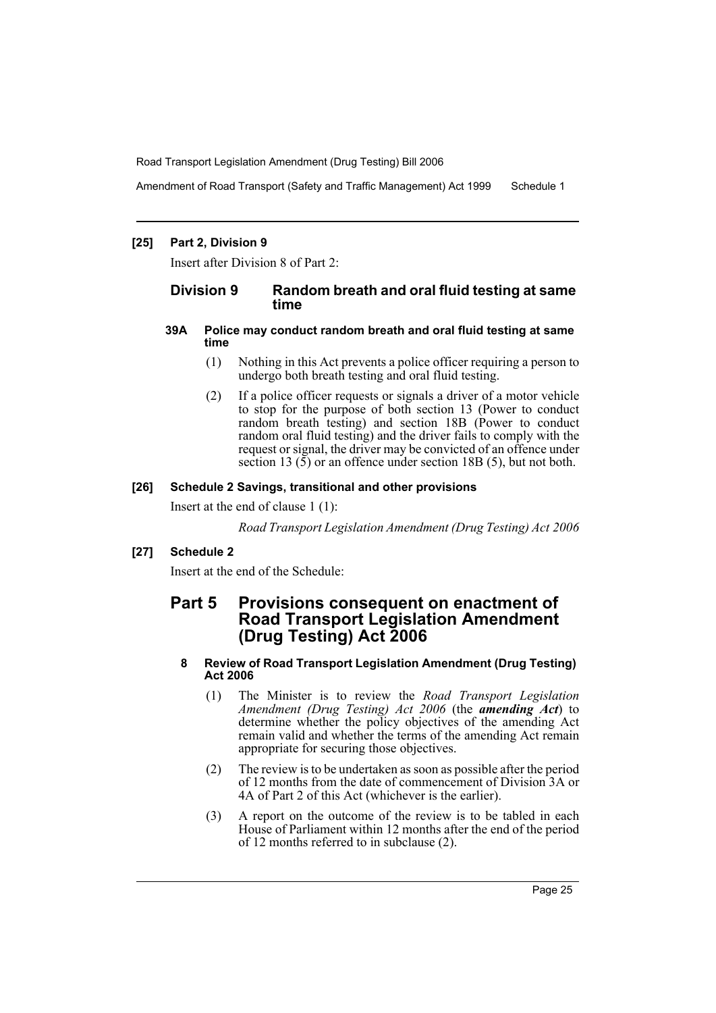Amendment of Road Transport (Safety and Traffic Management) Act 1999 Schedule 1

#### **[25] Part 2, Division 9**

Insert after Division 8 of Part 2:

## **Division 9 Random breath and oral fluid testing at same time**

#### **39A Police may conduct random breath and oral fluid testing at same time**

- (1) Nothing in this Act prevents a police officer requiring a person to undergo both breath testing and oral fluid testing.
- (2) If a police officer requests or signals a driver of a motor vehicle to stop for the purpose of both section 13 (Power to conduct random breath testing) and section 18B (Power to conduct random oral fluid testing) and the driver fails to comply with the request or signal, the driver may be convicted of an offence under section 13  $(5)$  or an offence under section 18B  $(5)$ , but not both.

#### **[26] Schedule 2 Savings, transitional and other provisions**

Insert at the end of clause 1 (1):

*Road Transport Legislation Amendment (Drug Testing) Act 2006*

## **[27] Schedule 2**

Insert at the end of the Schedule:

## **Part 5 Provisions consequent on enactment of Road Transport Legislation Amendment (Drug Testing) Act 2006**

### **8 Review of Road Transport Legislation Amendment (Drug Testing) Act 2006**

- (1) The Minister is to review the *Road Transport Legislation Amendment (Drug Testing) Act 2006* (the *amending Act*) to determine whether the policy objectives of the amending Act remain valid and whether the terms of the amending Act remain appropriate for securing those objectives.
- (2) The review is to be undertaken as soon as possible after the period of 12 months from the date of commencement of Division 3A or 4A of Part 2 of this Act (whichever is the earlier).
- (3) A report on the outcome of the review is to be tabled in each House of Parliament within 12 months after the end of the period of 12 months referred to in subclause (2).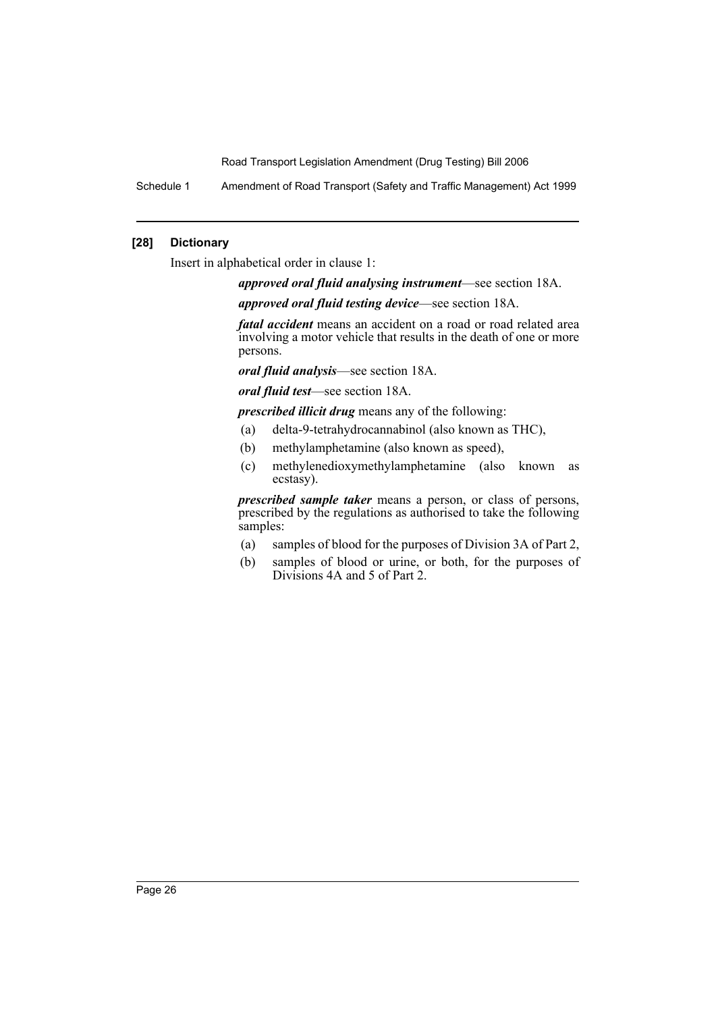Schedule 1 Amendment of Road Transport (Safety and Traffic Management) Act 1999

## **[28] Dictionary**

Insert in alphabetical order in clause 1:

*approved oral fluid analysing instrument*—see section 18A.

*approved oral fluid testing device*—see section 18A.

*fatal accident* means an accident on a road or road related area involving a motor vehicle that results in the death of one or more persons.

*oral fluid analysis*—see section 18A.

*oral fluid test*—see section 18A.

*prescribed illicit drug* means any of the following:

- (a) delta-9-tetrahydrocannabinol (also known as THC),
- (b) methylamphetamine (also known as speed),
- (c) methylenedioxymethylamphetamine (also known as ecstasy).

*prescribed sample taker* means a person, or class of persons, prescribed by the regulations as authorised to take the following samples:

- (a) samples of blood for the purposes of Division 3A of Part 2,
- (b) samples of blood or urine, or both, for the purposes of Divisions 4A and 5 of Part 2.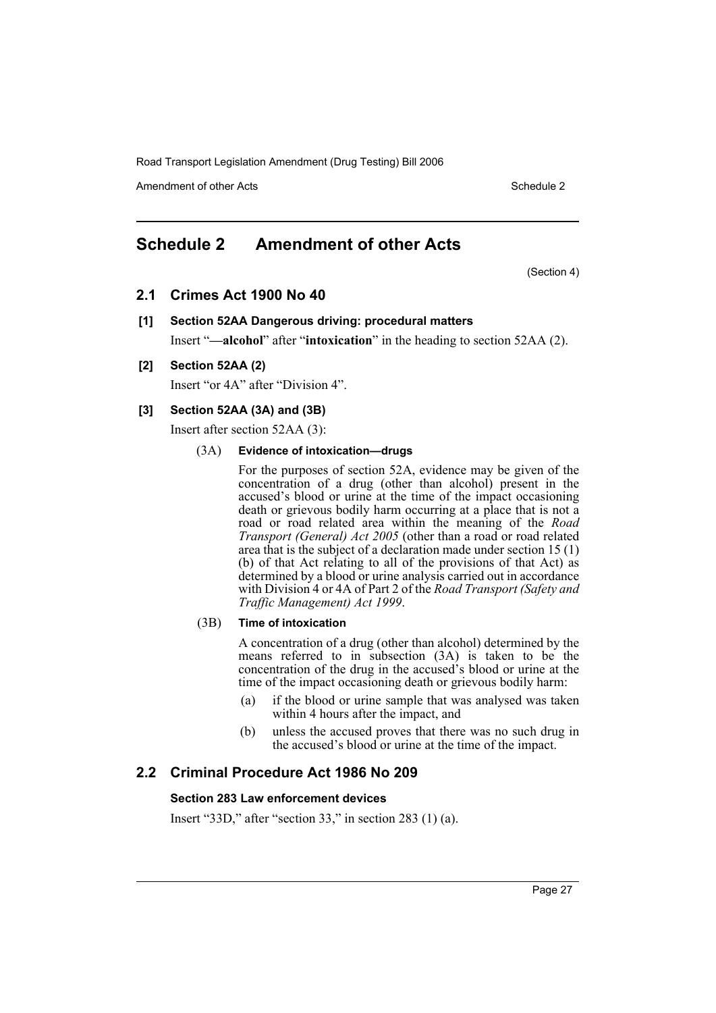Amendment of other Acts **Schedule 2** and the 2 and 2 and 2 and 2 and 2 and 2 and 2 and 2 and 2 and 2 and 2 and 2 and 2 and 2 and 2 and 2 and 2 and 2 and 2 and 2 and 2 and 2 and 2 and 2 and 2 and 2 and 2 and 2 and 2 and 2 a

# **Schedule 2 Amendment of other Acts**

(Section 4)

## **2.1 Crimes Act 1900 No 40**

## **[1] Section 52AA Dangerous driving: procedural matters**

Insert "**—alcohol**" after "**intoxication**" in the heading to section 52AA (2).

### **[2] Section 52AA (2)**

Insert "or 4A" after "Division 4".

## **[3] Section 52AA (3A) and (3B)**

Insert after section 52AA (3):

#### (3A) **Evidence of intoxication—drugs**

For the purposes of section 52A, evidence may be given of the concentration of a drug (other than alcohol) present in the accused's blood or urine at the time of the impact occasioning death or grievous bodily harm occurring at a place that is not a road or road related area within the meaning of the *Road Transport (General) Act 2005* (other than a road or road related area that is the subject of a declaration made under section 15 (1) (b) of that Act relating to all of the provisions of that Act) as determined by a blood or urine analysis carried out in accordance with Division 4 or 4A of Part 2 of the *Road Transport (Safety and Traffic Management) Act 1999*.

#### (3B) **Time of intoxication**

A concentration of a drug (other than alcohol) determined by the means referred to in subsection (3A) is taken to be the concentration of the drug in the accused's blood or urine at the time of the impact occasioning death or grievous bodily harm:

- (a) if the blood or urine sample that was analysed was taken within 4 hours after the impact, and
- (b) unless the accused proves that there was no such drug in the accused's blood or urine at the time of the impact.

## **2.2 Criminal Procedure Act 1986 No 209**

## **Section 283 Law enforcement devices**

Insert "33D," after "section 33," in section 283 (1) (a).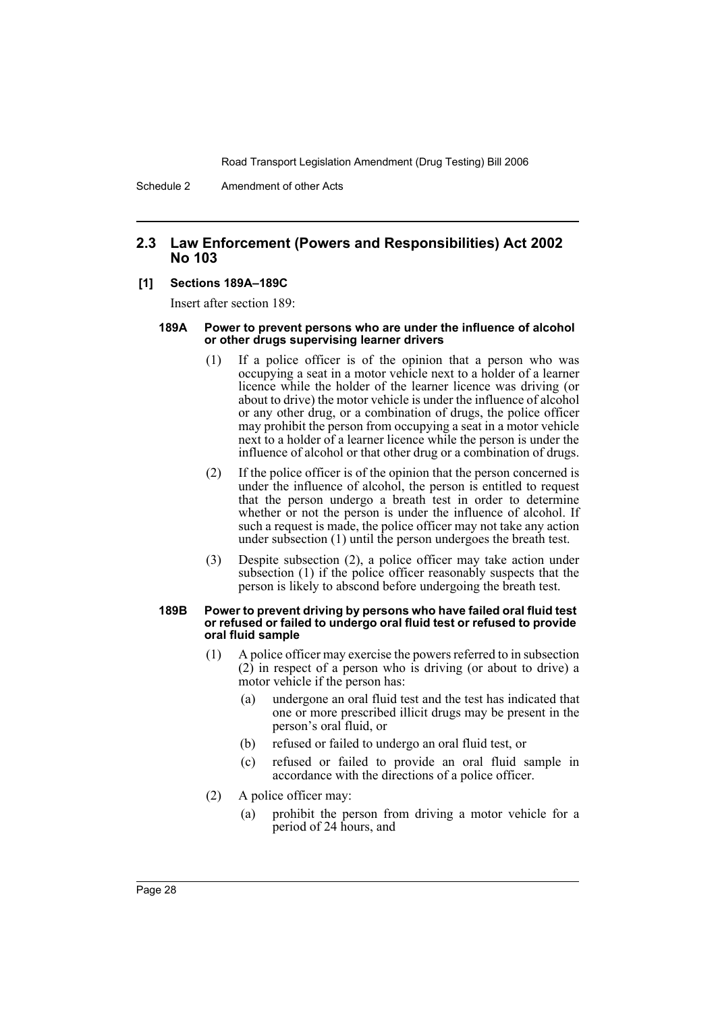## **2.3 Law Enforcement (Powers and Responsibilities) Act 2002 No 103**

#### **[1] Sections 189A–189C**

Insert after section 189:

#### **189A Power to prevent persons who are under the influence of alcohol or other drugs supervising learner drivers**

- (1) If a police officer is of the opinion that a person who was occupying a seat in a motor vehicle next to a holder of a learner licence while the holder of the learner licence was driving (or about to drive) the motor vehicle is under the influence of alcohol or any other drug, or a combination of drugs, the police officer may prohibit the person from occupying a seat in a motor vehicle next to a holder of a learner licence while the person is under the influence of alcohol or that other drug or a combination of drugs.
- (2) If the police officer is of the opinion that the person concerned is under the influence of alcohol, the person is entitled to request that the person undergo a breath test in order to determine whether or not the person is under the influence of alcohol. If such a request is made, the police officer may not take any action under subsection (1) until the person undergoes the breath test.
- (3) Despite subsection (2), a police officer may take action under subsection (1) if the police officer reasonably suspects that the person is likely to abscond before undergoing the breath test.

#### **189B Power to prevent driving by persons who have failed oral fluid test or refused or failed to undergo oral fluid test or refused to provide oral fluid sample**

- (1) A police officer may exercise the powers referred to in subsection  $(2)$  in respect of a person who is driving (or about to drive) a motor vehicle if the person has:
	- (a) undergone an oral fluid test and the test has indicated that one or more prescribed illicit drugs may be present in the person's oral fluid, or
	- (b) refused or failed to undergo an oral fluid test, or
	- (c) refused or failed to provide an oral fluid sample in accordance with the directions of a police officer.
- (2) A police officer may:
	- (a) prohibit the person from driving a motor vehicle for a period of 24 hours, and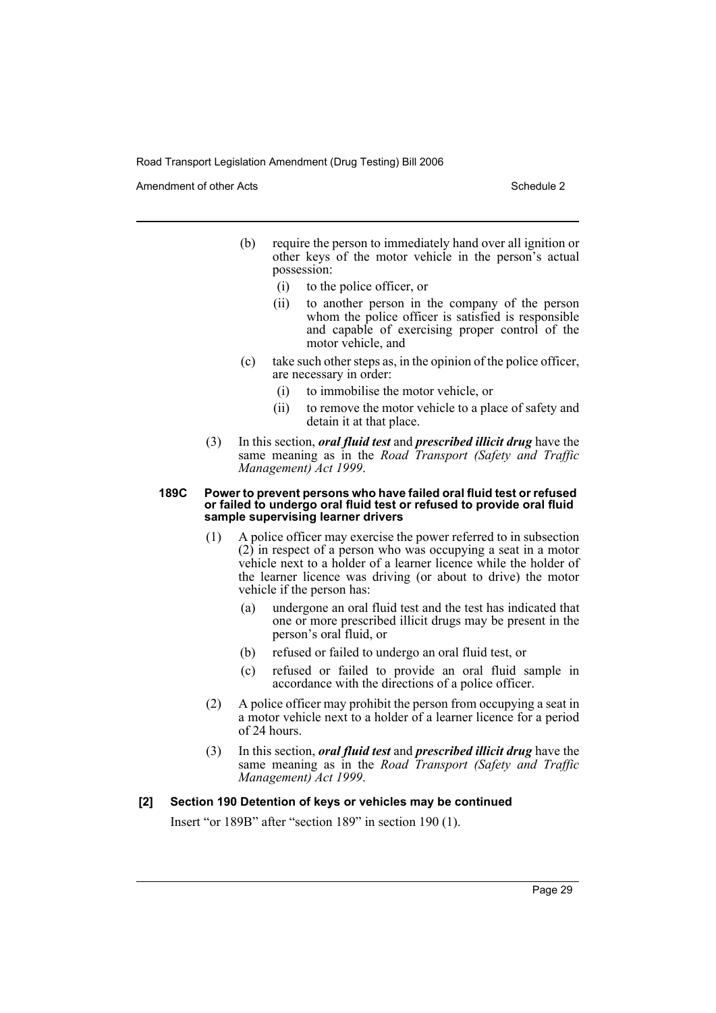Amendment of other Acts **Schedule 2** and the 2 and the 2 and 2 and 2 and 2 and 2 and 2 and 2 and 2 and 2 and 2 and 2 and 2 and 2 and 2 and 2 and 2 and 2 and 2 and 2 and 2 and 2 and 2 and 2 and 2 and 2 and 2 and 2 and 2 and

- (b) require the person to immediately hand over all ignition or other keys of the motor vehicle in the person's actual possession:
	- (i) to the police officer, or
	- (ii) to another person in the company of the person whom the police officer is satisfied is responsible and capable of exercising proper control of the motor vehicle, and
- (c) take such other steps as, in the opinion of the police officer, are necessary in order:
	- (i) to immobilise the motor vehicle, or
	- (ii) to remove the motor vehicle to a place of safety and detain it at that place.
- (3) In this section, *oral fluid test* and *prescribed illicit drug* have the same meaning as in the *Road Transport (Safety and Traffic Management) Act 1999*.

#### **189C Power to prevent persons who have failed oral fluid test or refused or failed to undergo oral fluid test or refused to provide oral fluid sample supervising learner drivers**

- (1) A police officer may exercise the power referred to in subsection  $(2)$  in respect of a person who was occupying a seat in a motor vehicle next to a holder of a learner licence while the holder of the learner licence was driving (or about to drive) the motor vehicle if the person has:
	- (a) undergone an oral fluid test and the test has indicated that one or more prescribed illicit drugs may be present in the person's oral fluid, or
	- (b) refused or failed to undergo an oral fluid test, or
	- (c) refused or failed to provide an oral fluid sample in accordance with the directions of a police officer.
- (2) A police officer may prohibit the person from occupying a seat in a motor vehicle next to a holder of a learner licence for a period of 24 hours.
- (3) In this section, *oral fluid test* and *prescribed illicit drug* have the same meaning as in the *Road Transport (Safety and Traffic Management) Act 1999*.

#### **[2] Section 190 Detention of keys or vehicles may be continued**

Insert "or 189B" after "section 189" in section 190 (1).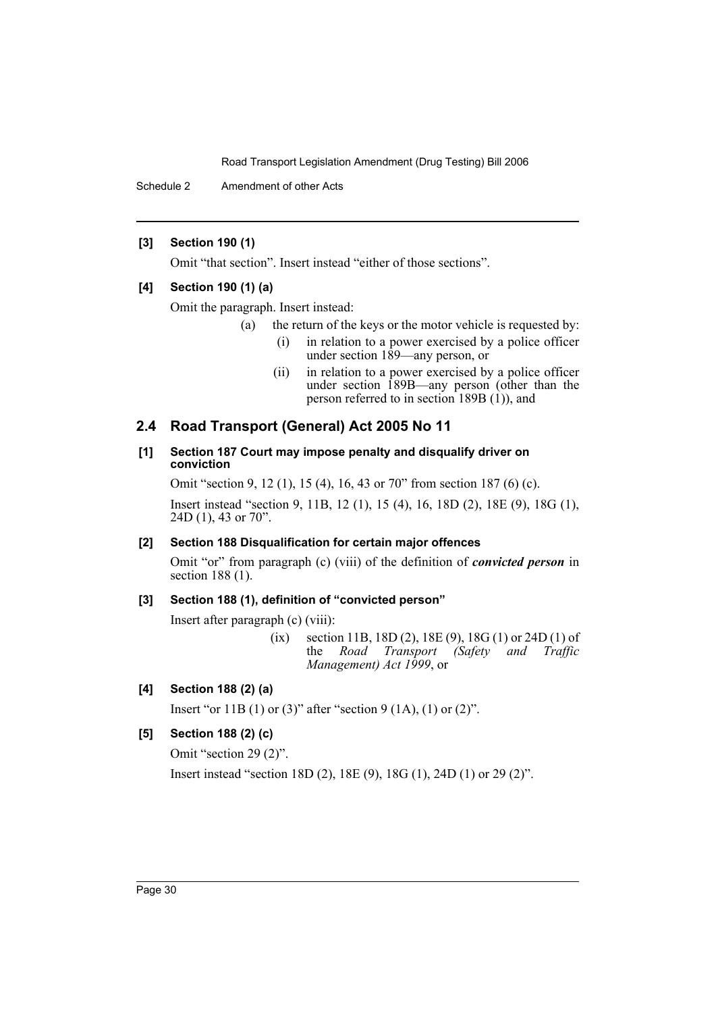Schedule 2 Amendment of other Acts

## **[3] Section 190 (1)**

Omit "that section". Insert instead "either of those sections".

## **[4] Section 190 (1) (a)**

Omit the paragraph. Insert instead:

- (a) the return of the keys or the motor vehicle is requested by:
	- (i) in relation to a power exercised by a police officer under section 189—any person, or
	- (ii) in relation to a power exercised by a police officer under section 189B—any person (other than the person referred to in section 189B (1)), and

## **2.4 Road Transport (General) Act 2005 No 11**

## **[1] Section 187 Court may impose penalty and disqualify driver on conviction**

Omit "section 9, 12 (1), 15 (4), 16, 43 or 70" from section 187 (6) (c).

Insert instead "section 9, 11B, 12 (1), 15 (4), 16, 18D (2), 18E (9), 18G (1), 24D (1), 43 or 70".

## **[2] Section 188 Disqualification for certain major offences**

Omit "or" from paragraph (c) (viii) of the definition of *convicted person* in section 188 (1).

## **[3] Section 188 (1), definition of "convicted person"**

Insert after paragraph (c) (viii):

(ix) section 11B, 18D (2), 18E (9), 18G (1) or 24D (1) of the *Road Transport (Safety and Traffic Management) Act 1999*, or

## **[4] Section 188 (2) (a)**

Insert "or 11B (1) or (3)" after "section 9 (1A), (1) or (2)".

## **[5] Section 188 (2) (c)**

Omit "section 29 (2)".

Insert instead "section 18D (2), 18E (9), 18G (1), 24D (1) or 29 (2)".